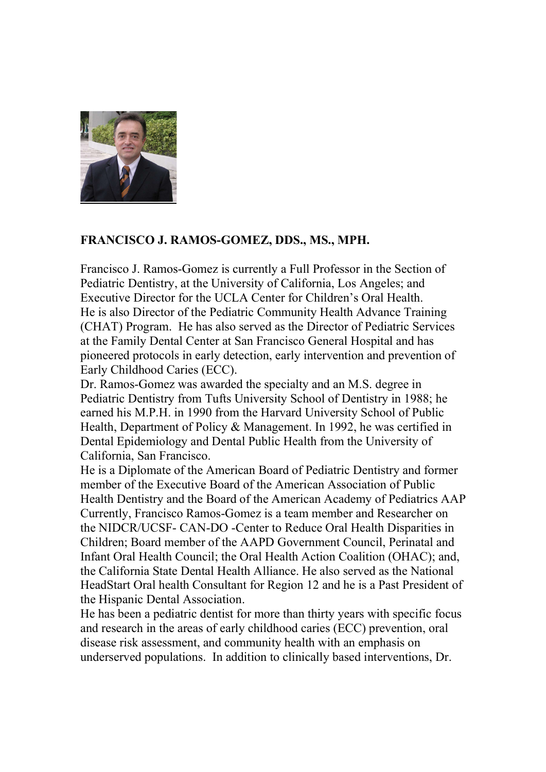

# FRANCISCO J. RAMOS-GOMEZ, DDS., MS., MPH.

Francisco J. Ramos-Gomez is currently a Full Professor in the Section of Pediatric Dentistry, at the University of California, Los Angeles; and Executive Director for the UCLA Center for Children's Oral Health. He is also Director of the Pediatric Community Health Advance Training (CHAT) Program. He has also served as the Director of Pediatric Services at the Family Dental Center at San Francisco General Hospital and has pioneered protocols in early detection, early intervention and prevention of Early Childhood Caries (ECC).

Dr. Ramos-Gomez was awarded the specialty and an M.S. degree in Pediatric Dentistry from Tufts University School of Dentistry in 1988; he earned his M.P.H. in 1990 from the Harvard University School of Public Health, Department of Policy & Management. In 1992, he was certified in Dental Epidemiology and Dental Public Health from the University of California, San Francisco.

He is a Diplomate of the American Board of Pediatric Dentistry and former member of the Executive Board of the American Association of Public Health Dentistry and the Board of the American Academy of Pediatrics AAP Currently, Francisco Ramos-Gomez is a team member and Researcher on the NIDCR/UCSF- CAN-DO -Center to Reduce Oral Health Disparities in Children; Board member of the AAPD Government Council, Perinatal and Infant Oral Health Council; the Oral Health Action Coalition (OHAC); and, the California State Dental Health Alliance. He also served as the National HeadStart Oral health Consultant for Region 12 and he is a Past President of the Hispanic Dental Association.

He has been a pediatric dentist for more than thirty years with specific focus and research in the areas of early childhood caries (ECC) prevention, oral disease risk assessment, and community health with an emphasis on underserved populations. In addition to clinically based interventions, Dr.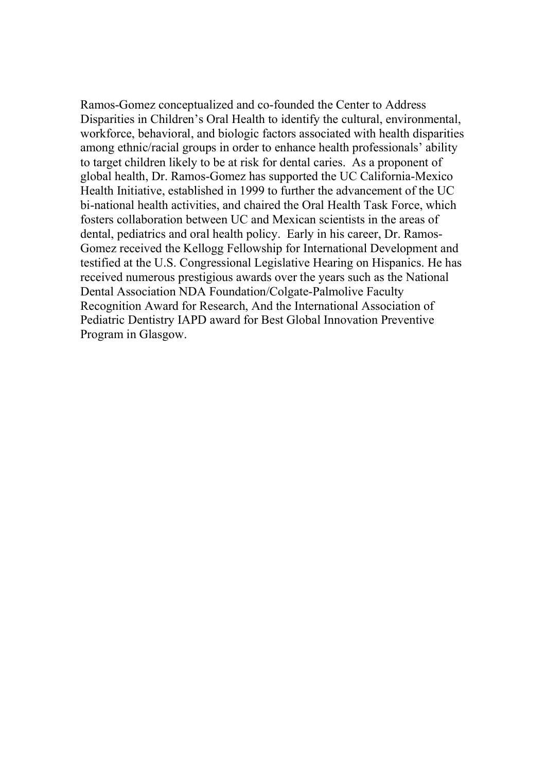Ramos-Gomez conceptualized and co-founded the Center to Address Disparities in Children's Oral Health to identify the cultural, environmental, workforce, behavioral, and biologic factors associated with health disparities among ethnic/racial groups in order to enhance health professionals' ability to target children likely to be at risk for dental caries. As a proponent of global health, Dr. Ramos-Gomez has supported the UC California-Mexico Health Initiative, established in 1999 to further the advancement of the UC bi-national health activities, and chaired the Oral Health Task Force, which fosters collaboration between UC and Mexican scientists in the areas of dental, pediatrics and oral health policy. Early in his career, Dr. Ramos-Gomez received the Kellogg Fellowship for International Development and testified at the U.S. Congressional Legislative Hearing on Hispanics. He has received numerous prestigious awards over the years such as the National Dental Association NDA Foundation/Colgate-Palmolive Faculty Recognition Award for Research, And the International Association of Pediatric Dentistry IAPD award for Best Global Innovation Preventive Program in Glasgow.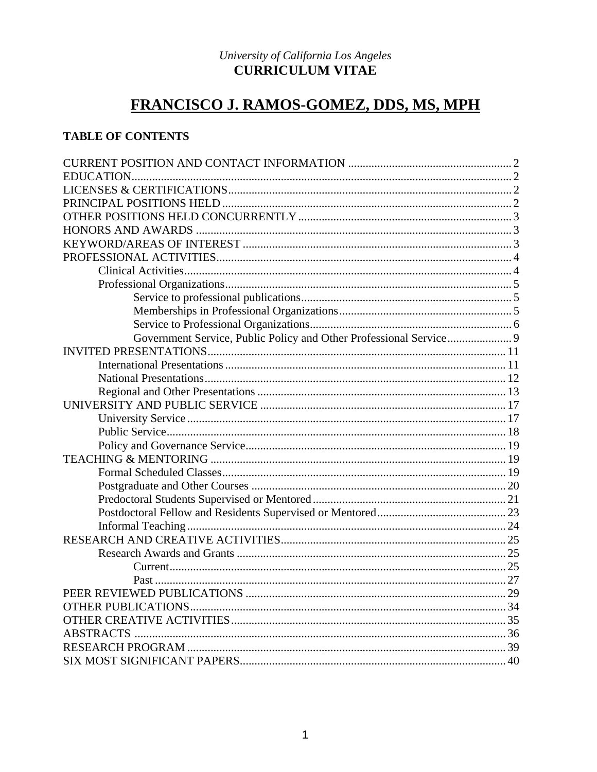### University of California Los Angeles **CURRICULUM VITAE**

# FRANCISCO J. RAMOS-GOMEZ, DDS, MS, MPH

# **TABLE OF CONTENTS**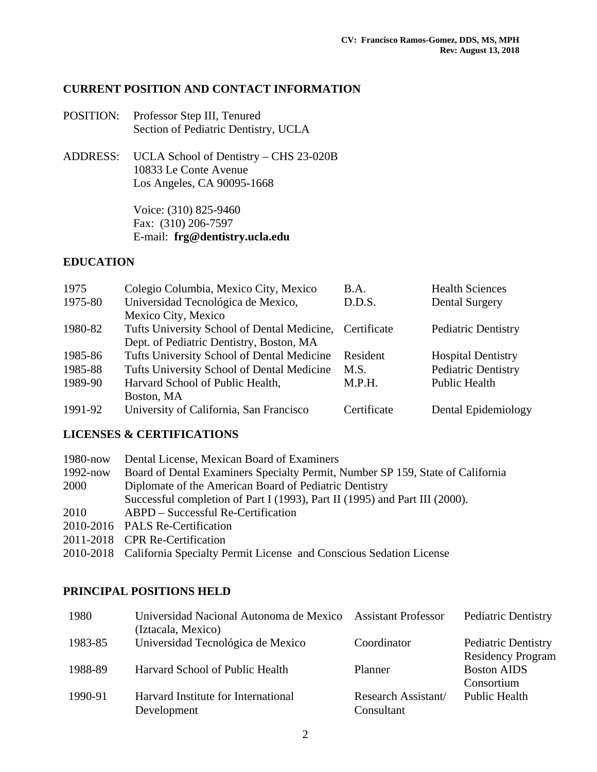### **CURRENT POSITION AND CONTACT INFORMATION**

- POSITION: Professor Step III, Tenured Section of Pediatric Dentistry, UCLA
- ADDRESS: UCLA School of Dentistry CHS 23-020B 10833 Le Conte Avenue Los Angeles, CA 90095-1668

 Voice: (310) 825-9460 Fax: (310) 206-7597 E-mail: **frg@dentistry.ucla.edu**

### **EDUCATION**

| 1975    | Colegio Columbia, Mexico City, Mexico        | B.A.        | <b>Health Sciences</b>     |  |
|---------|----------------------------------------------|-------------|----------------------------|--|
| 1975-80 | Universidad Tecnológica de Mexico,<br>D.D.S. |             | <b>Dental Surgery</b>      |  |
|         | Mexico City, Mexico                          |             |                            |  |
| 1980-82 | Tufts University School of Dental Medicine,  | Certificate | <b>Pediatric Dentistry</b> |  |
|         | Dept. of Pediatric Dentistry, Boston, MA     |             |                            |  |
| 1985-86 | Tufts University School of Dental Medicine   | Resident    | <b>Hospital Dentistry</b>  |  |
| 1985-88 | Tufts University School of Dental Medicine   | M.S.        | Pediatric Dentistry        |  |
| 1989-90 | Harvard School of Public Health,             | M.P.H.      | <b>Public Health</b>       |  |
|         | Boston, MA                                   |             |                            |  |
| 1991-92 | University of California, San Francisco      | Certificate | Dental Epidemiology        |  |

### **LICENSES & CERTIFICATIONS**

| 1980-now     | Dental License, Mexican Board of Examiners                                     |
|--------------|--------------------------------------------------------------------------------|
| $1992 - now$ | Board of Dental Examiners Specialty Permit, Number SP 159, State of California |
| 2000         | Diplomate of the American Board of Pediatric Dentistry                         |
|              | Successful completion of Part I (1993), Part II (1995) and Part III (2000).    |
| 2010         | ABPD – Successful Re-Certification                                             |
|              | 2010-2016 PALS Re-Certification                                                |
|              | 2011-2018 CPR Re-Certification                                                 |

2010-2018 California Specialty Permit License and Conscious Sedation License

### **PRINCIPAL POSITIONS HELD**

| 1980    | Universidad Nacional Autonoma de Mexico Assistant Professor<br>(Iztacala, Mexico) |                                   | <b>Pediatric Dentistry</b>                             |
|---------|-----------------------------------------------------------------------------------|-----------------------------------|--------------------------------------------------------|
| 1983-85 | Universidad Tecnológica de Mexico                                                 | Coordinator                       | <b>Pediatric Dentistry</b><br><b>Residency Program</b> |
| 1988-89 | Harvard School of Public Health                                                   | Planner                           | <b>Boston AIDS</b><br>Consortium                       |
| 1990-91 | Harvard Institute for International<br>Development                                | Research Assistant/<br>Consultant | <b>Public Health</b>                                   |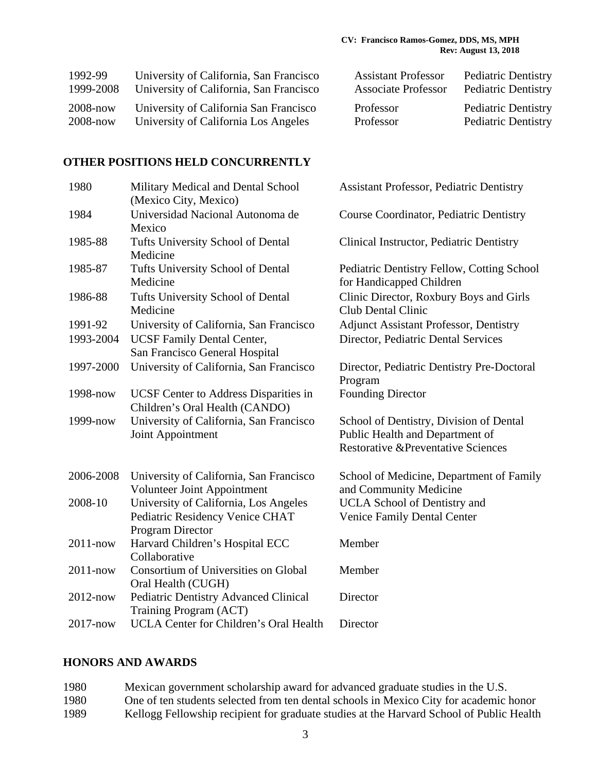| 1992-99      | University of California, San Francisco | <b>Assistant Professor</b> | <b>Pediatric Dentistry</b> |
|--------------|-----------------------------------------|----------------------------|----------------------------|
| 1999-2008    | University of California, San Francisco | <b>Associate Professor</b> | <b>Pediatric Dentistry</b> |
| $2008 - now$ | University of California San Francisco  | Professor                  | <b>Pediatric Dentistry</b> |
| $2008 - now$ | University of California Los Angeles    | Professor                  | <b>Pediatric Dentistry</b> |

### **OTHER POSITIONS HELD CONCURRENTLY**

| 1980         | Military Medical and Dental School<br>(Mexico City, Mexico)                                  | <b>Assistant Professor, Pediatric Dentistry</b>                                                                             |
|--------------|----------------------------------------------------------------------------------------------|-----------------------------------------------------------------------------------------------------------------------------|
| 1984         | Universidad Nacional Autonoma de<br>Mexico                                                   | Course Coordinator, Pediatric Dentistry                                                                                     |
| 1985-88      | Tufts University School of Dental<br>Medicine                                                | Clinical Instructor, Pediatric Dentistry                                                                                    |
| 1985-87      | Tufts University School of Dental<br>Medicine                                                | Pediatric Dentistry Fellow, Cotting School<br>for Handicapped Children                                                      |
| 1986-88      | Tufts University School of Dental<br>Medicine                                                | Clinic Director, Roxbury Boys and Girls<br><b>Club Dental Clinic</b>                                                        |
| 1991-92      | University of California, San Francisco                                                      | <b>Adjunct Assistant Professor, Dentistry</b>                                                                               |
| 1993-2004    | <b>UCSF Family Dental Center,</b><br>San Francisco General Hospital                          | Director, Pediatric Dental Services                                                                                         |
| 1997-2000    | University of California, San Francisco                                                      | Director, Pediatric Dentistry Pre-Doctoral<br>Program                                                                       |
| 1998-now     | UCSF Center to Address Disparities in<br>Children's Oral Health (CANDO)                      | <b>Founding Director</b>                                                                                                    |
| 1999-now     | University of California, San Francisco<br>Joint Appointment                                 | School of Dentistry, Division of Dental<br>Public Health and Department of<br><b>Restorative &amp;Preventative Sciences</b> |
| 2006-2008    | University of California, San Francisco<br>Volunteer Joint Appointment                       | School of Medicine, Department of Family<br>and Community Medicine                                                          |
| 2008-10      | University of California, Los Angeles<br>Pediatric Residency Venice CHAT<br>Program Director | UCLA School of Dentistry and<br><b>Venice Family Dental Center</b>                                                          |
| $2011 - now$ | Harvard Children's Hospital ECC<br>Collaborative                                             | Member                                                                                                                      |
| $2011 - now$ | Consortium of Universities on Global<br>Oral Health (CUGH)                                   | Member                                                                                                                      |
| 2012-now     | <b>Pediatric Dentistry Advanced Clinical</b><br>Training Program (ACT)                       | Director                                                                                                                    |
| $2017 - now$ | <b>UCLA Center for Children's Oral Health</b>                                                | Director                                                                                                                    |

# **HONORS AND AWARDS**

| 1980 | Mexican government scholarship award for advanced graduate studies in the U.S.           |
|------|------------------------------------------------------------------------------------------|
| 1980 | One of ten students selected from ten dental schools in Mexico City for academic honor   |
| 1989 | Kellogg Fellowship recipient for graduate studies at the Harvard School of Public Health |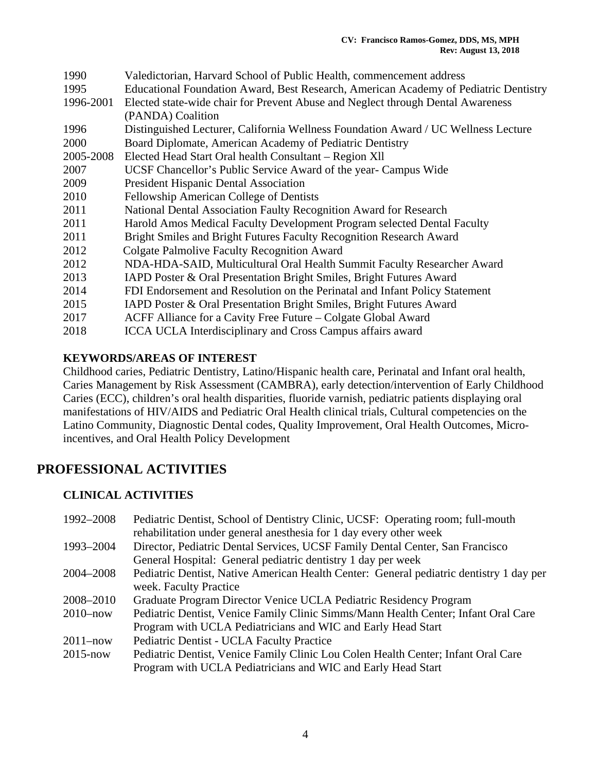| 1990      | Valedictorian, Harvard School of Public Health, commencement address                 |
|-----------|--------------------------------------------------------------------------------------|
| 1995      | Educational Foundation Award, Best Research, American Academy of Pediatric Dentistry |
| 1996-2001 | Elected state-wide chair for Prevent Abuse and Neglect through Dental Awareness      |
|           | (PANDA) Coalition                                                                    |
| 1996      | Distinguished Lecturer, California Wellness Foundation Award / UC Wellness Lecture   |
| 2000      | Board Diplomate, American Academy of Pediatric Dentistry                             |
| 2005-2008 | Elected Head Start Oral health Consultant – Region XII                               |
| 2007      | UCSF Chancellor's Public Service Award of the year- Campus Wide                      |
| 2009      | <b>President Hispanic Dental Association</b>                                         |
| 2010      | Fellowship American College of Dentists                                              |
| 2011      | National Dental Association Faulty Recognition Award for Research                    |
| 2011      | Harold Amos Medical Faculty Development Program selected Dental Faculty              |
| 2011      | Bright Smiles and Bright Futures Faculty Recognition Research Award                  |
| 2012      | <b>Colgate Palmolive Faculty Recognition Award</b>                                   |
| 2012      | NDA-HDA-SAID, Multicultural Oral Health Summit Faculty Researcher Award              |
| 2013      | IAPD Poster & Oral Presentation Bright Smiles, Bright Futures Award                  |
| 2014      | FDI Endorsement and Resolution on the Perinatal and Infant Policy Statement          |
| 2015      | IAPD Poster & Oral Presentation Bright Smiles, Bright Futures Award                  |
| 2017      | ACFF Alliance for a Cavity Free Future – Colgate Global Award                        |
| 2018      | ICCA UCLA Interdisciplinary and Cross Campus affairs award                           |

### **KEYWORDS/AREAS OF INTEREST**

Childhood caries, Pediatric Dentistry, Latino/Hispanic health care, Perinatal and Infant oral health, Caries Management by Risk Assessment (CAMBRA), early detection/intervention of Early Childhood Caries (ECC), children's oral health disparities, fluoride varnish, pediatric patients displaying oral manifestations of HIV/AIDS and Pediatric Oral Health clinical trials, Cultural competencies on the Latino Community, Diagnostic Dental codes, Quality Improvement, Oral Health Outcomes, Microincentives, and Oral Health Policy Development

# **PROFESSIONAL ACTIVITIES**

### **CLINICAL ACTIVITIES**

| 1992–2008    | Pediatric Dentist, School of Dentistry Clinic, UCSF: Operating room; full-mouth         |
|--------------|-----------------------------------------------------------------------------------------|
|              | rehabilitation under general anesthesia for 1 day every other week                      |
| 1993-2004    | Director, Pediatric Dental Services, UCSF Family Dental Center, San Francisco           |
|              | General Hospital: General pediatric dentistry 1 day per week                            |
| 2004–2008    | Pediatric Dentist, Native American Health Center: General pediatric dentistry 1 day per |
|              | week. Faculty Practice                                                                  |
| 2008–2010    | Graduate Program Director Venice UCLA Pediatric Residency Program                       |
| $2010 - now$ | Pediatric Dentist, Venice Family Clinic Simms/Mann Health Center; Infant Oral Care      |
|              | Program with UCLA Pediatricians and WIC and Early Head Start                            |
| $2011 - now$ | Pediatric Dentist - UCLA Faculty Practice                                               |
| $2015 - now$ | Pediatric Dentist, Venice Family Clinic Lou Colen Health Center; Infant Oral Care       |
|              | Program with UCLA Pediatricians and WIC and Early Head Start                            |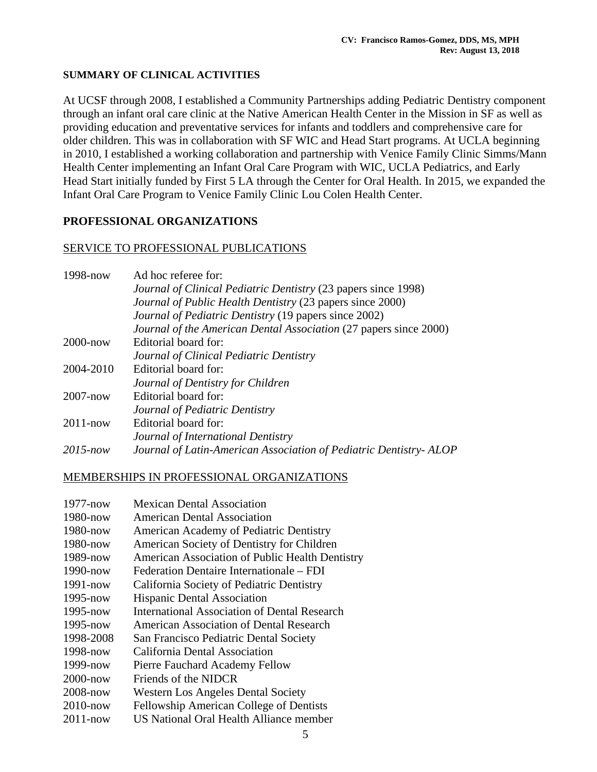### **SUMMARY OF CLINICAL ACTIVITIES**

At UCSF through 2008, I established a Community Partnerships adding Pediatric Dentistry component through an infant oral care clinic at the Native American Health Center in the Mission in SF as well as providing education and preventative services for infants and toddlers and comprehensive care for older children. This was in collaboration with SF WIC and Head Start programs. At UCLA beginning in 2010, I established a working collaboration and partnership with Venice Family Clinic Simms/Mann Health Center implementing an Infant Oral Care Program with WIC, UCLA Pediatrics, and Early Head Start initially funded by First 5 LA through the Center for Oral Health. In 2015, we expanded the Infant Oral Care Program to Venice Family Clinic Lou Colen Health Center.

### **PROFESSIONAL ORGANIZATIONS**

### SERVICE TO PROFESSIONAL PUBLICATIONS

| $1998 - now$ | Ad hoc referee for:                                                   |
|--------------|-----------------------------------------------------------------------|
|              | <i>Journal of Clinical Pediatric Dentistry (23 papers since 1998)</i> |
|              | Journal of Public Health Dentistry (23 papers since 2000)             |
|              | Journal of Pediatric Dentistry (19 papers since 2002)                 |
|              | Journal of the American Dental Association (27 papers since 2000)     |
| $2000 - now$ | Editorial board for:                                                  |
|              | Journal of Clinical Pediatric Dentistry                               |
| 2004-2010    | Editorial board for:                                                  |
|              | Journal of Dentistry for Children                                     |
| $2007 - now$ | Editorial board for:                                                  |
|              | Journal of Pediatric Dentistry                                        |
| $2011 - now$ | Editorial board for:                                                  |
|              | Journal of International Dentistry                                    |
| $2015$ -now  | Journal of Latin-American Association of Pediatric Dentistry-ALOP     |

### MEMBERSHIPS IN PROFESSIONAL ORGANIZATIONS

| $1977 - now$ | <b>Mexican Dental Association</b>               |
|--------------|-------------------------------------------------|
| 1980-now     | American Dental Association                     |
| $1980 - now$ | American Academy of Pediatric Dentistry         |
| 1980-now     | American Society of Dentistry for Children      |
| 1989-now     | American Association of Public Health Dentistry |
| $1990 - now$ | Federation Dentaire Internationale – FDI        |
| $1991 - now$ | California Society of Pediatric Dentistry       |
| 1995-now     | <b>Hispanic Dental Association</b>              |
| 1995-now     | International Association of Dental Research    |
| $1995 - now$ | American Association of Dental Research         |
| 1998-2008    | San Francisco Pediatric Dental Society          |
| 1998-now     | California Dental Association                   |
| 1999-now     | Pierre Fauchard Academy Fellow                  |
| $2000 - now$ | Friends of the NIDCR                            |
| $2008 - now$ | <b>Western Los Angeles Dental Society</b>       |
| $2010$ -now  | Fellowship American College of Dentists         |
| $2011 - now$ | US National Oral Health Alliance member         |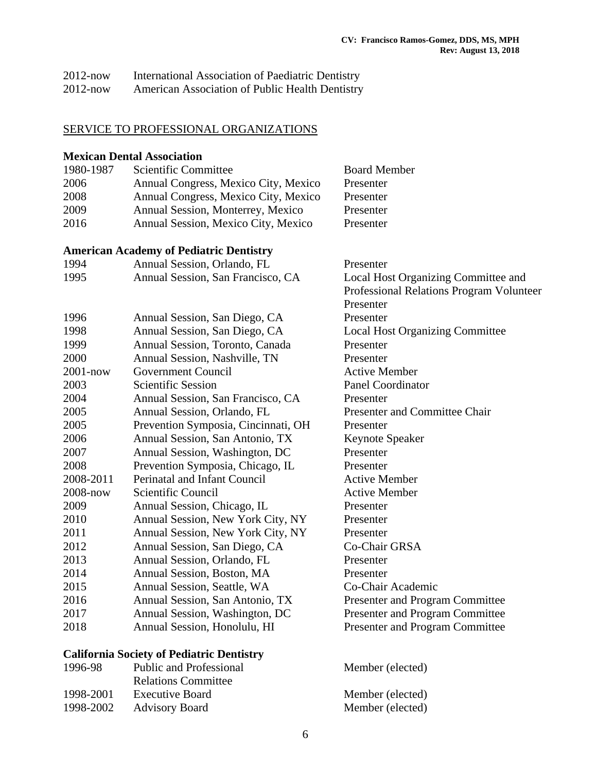| $2012$ -now | International Association of Paediatric Dentistry |
|-------------|---------------------------------------------------|
| $2012$ -now | American Association of Public Health Dentistry   |

### SERVICE TO PROFESSIONAL ORGANIZATIONS

#### **Mexican Dental Association**

| 1980-1987 | Scientific Committee                 | <b>Board Member</b> |
|-----------|--------------------------------------|---------------------|
| 2006      | Annual Congress, Mexico City, Mexico | Presenter           |
| 2008      | Annual Congress, Mexico City, Mexico | Presenter           |
| 2009      | Annual Session, Monterrey, Mexico    | Presenter           |
| 2016      | Annual Session, Mexico City, Mexico  | Presenter           |

### **American Academy of Pediatric Dentistry**

| 1994         | Annual Session, Orlando, FL         | Presenter                                |
|--------------|-------------------------------------|------------------------------------------|
| 1995         | Annual Session, San Francisco, CA   | Local Host Organizing Committee and      |
|              |                                     | Professional Relations Program Volunteer |
|              |                                     | Presenter                                |
| 1996         | Annual Session, San Diego, CA       | Presenter                                |
| 1998         | Annual Session, San Diego, CA       | <b>Local Host Organizing Committee</b>   |
| 1999         | Annual Session, Toronto, Canada     | Presenter                                |
| 2000         | Annual Session, Nashville, TN       | Presenter                                |
| $2001 - now$ | <b>Government Council</b>           | <b>Active Member</b>                     |
| 2003         | <b>Scientific Session</b>           | <b>Panel Coordinator</b>                 |
| 2004         | Annual Session, San Francisco, CA   | Presenter                                |
| 2005         | Annual Session, Orlando, FL         | Presenter and Committee Chair            |
| 2005         | Prevention Symposia, Cincinnati, OH | Presenter                                |
| 2006         | Annual Session, San Antonio, TX     | <b>Keynote Speaker</b>                   |
| 2007         | Annual Session, Washington, DC      | Presenter                                |
| 2008         | Prevention Symposia, Chicago, IL    | Presenter                                |
| 2008-2011    | Perinatal and Infant Council        | <b>Active Member</b>                     |
| 2008-now     | Scientific Council                  | <b>Active Member</b>                     |
| 2009         | Annual Session, Chicago, IL         | Presenter                                |
| 2010         | Annual Session, New York City, NY   | Presenter                                |
| 2011         | Annual Session, New York City, NY   | Presenter                                |
| 2012         | Annual Session, San Diego, CA       | Co-Chair GRSA                            |
| 2013         | Annual Session, Orlando, FL         | Presenter                                |
| 2014         | Annual Session, Boston, MA          | Presenter                                |
| 2015         | Annual Session, Seattle, WA         | Co-Chair Academic                        |
| 2016         | Annual Session, San Antonio, TX     | Presenter and Program Committee          |
| 2017         | Annual Session, Washington, DC      | Presenter and Program Committee          |
| 2018         | Annual Session, Honolulu, HI        | Presenter and Program Committee          |

### **California Society of Pediatric Dentistry**

| 1996-98   | <b>Public and Professional</b> | Member (elected) |
|-----------|--------------------------------|------------------|
|           | <b>Relations Committee</b>     |                  |
| 1998-2001 | <b>Executive Board</b>         | Member (elected) |
| 1998-2002 | <b>Advisory Board</b>          | Member (elected) |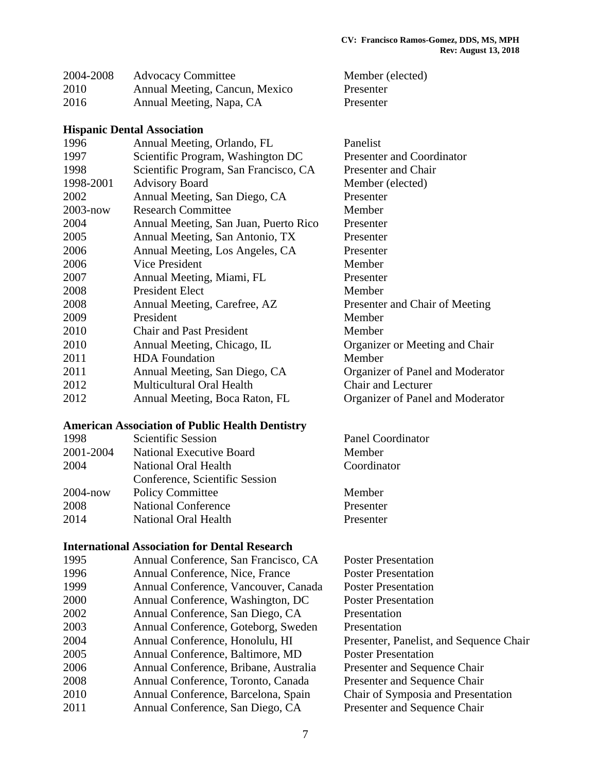| 2004-2008 | <b>Advocacy Committee</b>      | Member (elected) |
|-----------|--------------------------------|------------------|
| 2010      | Annual Meeting, Cancun, Mexico | Presenter        |
| 2016      | Annual Meeting, Napa, CA       | Presenter        |

#### **Hispanic Dental Association**

| 1996         | Annual Meeting, Orlando, FL           | Panelist                         |
|--------------|---------------------------------------|----------------------------------|
| 1997         | Scientific Program, Washington DC     | <b>Presenter and Coordinator</b> |
| 1998         | Scientific Program, San Francisco, CA | Presenter and Chair              |
| 1998-2001    | <b>Advisory Board</b>                 | Member (elected)                 |
| 2002         | Annual Meeting, San Diego, CA         | Presenter                        |
| $2003 - now$ | <b>Research Committee</b>             | Member                           |
| 2004         | Annual Meeting, San Juan, Puerto Rico | Presenter                        |
| 2005         | Annual Meeting, San Antonio, TX       | Presenter                        |
| 2006         | Annual Meeting, Los Angeles, CA       | Presenter                        |
| 2006         | Vice President                        | Member                           |
| 2007         | Annual Meeting, Miami, FL             | Presenter                        |
| 2008         | <b>President Elect</b>                | Member                           |
| 2008         | Annual Meeting, Carefree, AZ          | Presenter and Chair of Meeting   |
| 2009         | President                             | Member                           |
| 2010         | <b>Chair and Past President</b>       | Member                           |
| 2010         | Annual Meeting, Chicago, IL           | Organizer or Meeting and Chair   |
| 2011         | <b>HDA</b> Foundation                 | Member                           |
| 2011         | Annual Meeting, San Diego, CA         | Organizer of Panel and Moderator |
| 2012         | Multicultural Oral Health             | <b>Chair and Lecturer</b>        |
| 2012         | Annual Meeting, Boca Raton, FL        | Organizer of Panel and Moderator |

#### **American Association of Public Health Dentistry**

| 1998         | <b>Scientific Session</b>       | Panel Coordinator |
|--------------|---------------------------------|-------------------|
| 2001-2004    | <b>National Executive Board</b> | Member            |
| 2004         | National Oral Health            | Coordinator       |
|              | Conference, Scientific Session  |                   |
| $2004 - now$ | <b>Policy Committee</b>         | Member            |
| 2008         | <b>National Conference</b>      | Presenter         |
| 2014         | National Oral Health            | Presenter         |
|              |                                 |                   |

#### **International Association for Dental Research**

| 1995 | Annual Conference, San Francisco, CA  | <b>Poster Presentation</b>              |
|------|---------------------------------------|-----------------------------------------|
| 1996 | Annual Conference, Nice, France       | <b>Poster Presentation</b>              |
| 1999 | Annual Conference, Vancouver, Canada  | <b>Poster Presentation</b>              |
| 2000 | Annual Conference, Washington, DC     | <b>Poster Presentation</b>              |
| 2002 | Annual Conference, San Diego, CA      | Presentation                            |
| 2003 | Annual Conference, Goteborg, Sweden   | Presentation                            |
| 2004 | Annual Conference, Honolulu, HI       | Presenter, Panelist, and Sequence Chair |
| 2005 | Annual Conference, Baltimore, MD      | <b>Poster Presentation</b>              |
| 2006 | Annual Conference, Bribane, Australia | Presenter and Sequence Chair            |
| 2008 | Annual Conference, Toronto, Canada    | Presenter and Sequence Chair            |
| 2010 | Annual Conference, Barcelona, Spain   | Chair of Symposia and Presentation      |
| 2011 | Annual Conference, San Diego, CA      | Presenter and Sequence Chair            |
|      |                                       |                                         |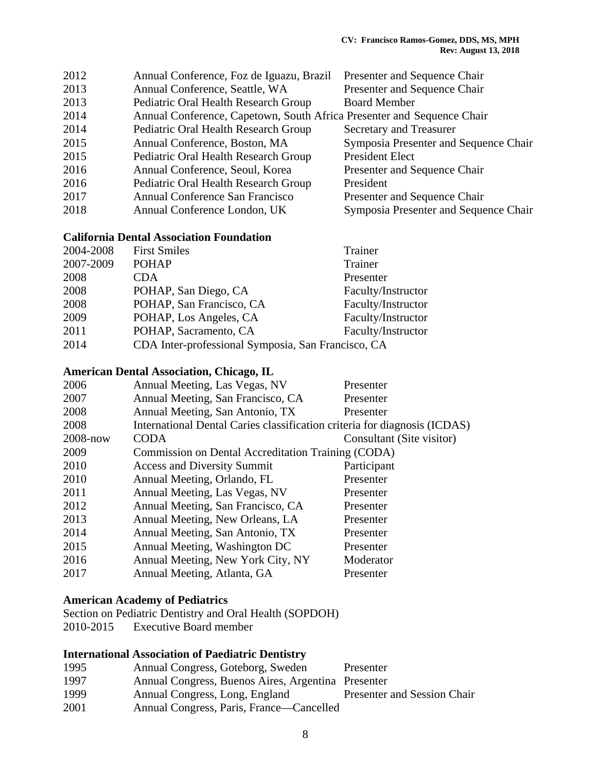| 2012 | Annual Conference, Foz de Iguazu, Brazil                               | Presenter and Sequence Chair          |
|------|------------------------------------------------------------------------|---------------------------------------|
| 2013 | Annual Conference, Seattle, WA                                         | Presenter and Sequence Chair          |
| 2013 | Pediatric Oral Health Research Group                                   | <b>Board Member</b>                   |
| 2014 | Annual Conference, Capetown, South Africa Presenter and Sequence Chair |                                       |
| 2014 | Pediatric Oral Health Research Group                                   | Secretary and Treasurer               |
| 2015 | Annual Conference, Boston, MA                                          | Symposia Presenter and Sequence Chair |
| 2015 | Pediatric Oral Health Research Group                                   | <b>President Elect</b>                |
| 2016 | Annual Conference, Seoul, Korea                                        | Presenter and Sequence Chair          |
| 2016 | Pediatric Oral Health Research Group                                   | President                             |
| 2017 | Annual Conference San Francisco                                        | Presenter and Sequence Chair          |
| 2018 | Annual Conference London, UK                                           | Symposia Presenter and Sequence Chair |

#### **California Dental Association Foundation**

| 2004-2008 | <b>First Smiles</b>                                | Trainer            |
|-----------|----------------------------------------------------|--------------------|
| 2007-2009 | <b>POHAP</b>                                       | Trainer            |
| 2008      | CDA                                                | Presenter          |
| 2008      | POHAP, San Diego, CA                               | Faculty/Instructor |
| 2008      | POHAP, San Francisco, CA                           | Faculty/Instructor |
| 2009      | POHAP, Los Angeles, CA                             | Faculty/Instructor |
| 2011      | POHAP, Sacramento, CA                              | Faculty/Instructor |
| 2014      | CDA Inter-professional Symposia, San Francisco, CA |                    |
|           |                                                    |                    |

### **American Dental Association, Chicago, IL**

|                                    | Presenter                                                                                                                                                        |
|------------------------------------|------------------------------------------------------------------------------------------------------------------------------------------------------------------|
| Annual Meeting, San Francisco, CA  | Presenter                                                                                                                                                        |
| Annual Meeting, San Antonio, TX    | Presenter                                                                                                                                                        |
|                                    |                                                                                                                                                                  |
| <b>CODA</b>                        | Consultant (Site visitor)                                                                                                                                        |
|                                    |                                                                                                                                                                  |
| <b>Access and Diversity Summit</b> | Participant                                                                                                                                                      |
| Annual Meeting, Orlando, FL        | Presenter                                                                                                                                                        |
| Annual Meeting, Las Vegas, NV      | Presenter                                                                                                                                                        |
| Annual Meeting, San Francisco, CA  | Presenter                                                                                                                                                        |
| Annual Meeting, New Orleans, LA    | Presenter                                                                                                                                                        |
| Annual Meeting, San Antonio, TX    | Presenter                                                                                                                                                        |
| Annual Meeting, Washington DC      | Presenter                                                                                                                                                        |
| Annual Meeting, New York City, NY  | Moderator                                                                                                                                                        |
| Annual Meeting, Atlanta, GA        | Presenter                                                                                                                                                        |
|                                    | Annual Meeting, Las Vegas, NV<br>International Dental Caries classification criteria for diagnosis (ICDAS)<br>Commission on Dental Accreditation Training (CODA) |

#### **American Academy of Pediatrics**

Section on Pediatric Dentistry and Oral Health (SOPDOH) 2010-2015 Executive Board member

### **International Association of Paediatric Dentistry**

| 1995 | Annual Congress, Goteborg, Sweden                  | Presenter                   |
|------|----------------------------------------------------|-----------------------------|
| 1997 | Annual Congress, Buenos Aires, Argentina Presenter |                             |
| 1999 | Annual Congress, Long, England                     | Presenter and Session Chair |
| 2001 | Annual Congress, Paris, France—Cancelled           |                             |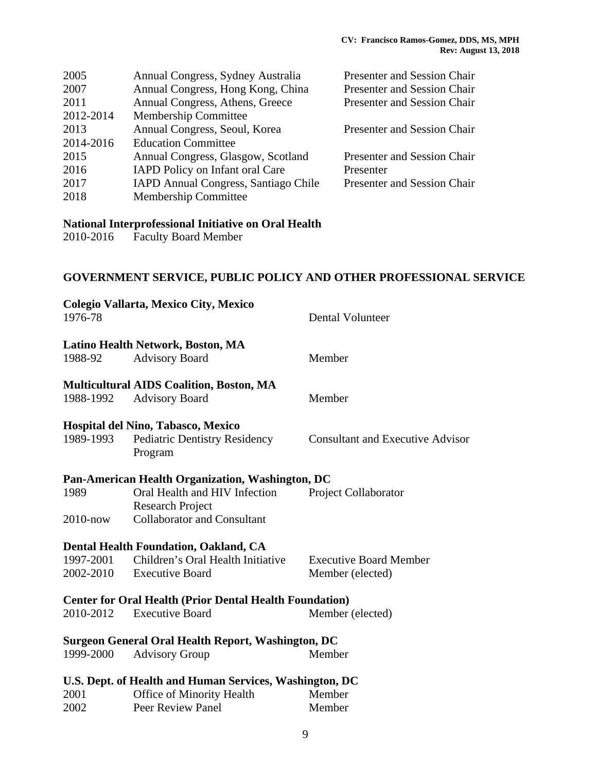| Annual Congress, Sydney Australia           | Presenter and Session Chair        |
|---------------------------------------------|------------------------------------|
| Annual Congress, Hong Kong, China           | <b>Presenter and Session Chair</b> |
| Annual Congress, Athens, Greece             | Presenter and Session Chair        |
| <b>Membership Committee</b>                 |                                    |
| Annual Congress, Seoul, Korea               | Presenter and Session Chair        |
| <b>Education Committee</b>                  |                                    |
| Annual Congress, Glasgow, Scotland          | Presenter and Session Chair        |
| <b>IAPD Policy on Infant oral Care</b>      | Presenter                          |
| <b>IAPD Annual Congress, Santiago Chile</b> | <b>Presenter and Session Chair</b> |
| Membership Committee                        |                                    |
|                                             |                                    |

# **National Interprofessional Initiative on Oral Health**

Faculty Board Member

# **GOVERNMENT SERVICE, PUBLIC POLICY AND OTHER PROFESSIONAL SERVICE**

| Colegio Vallarta, Mexico City, Mexico<br>1976-78 |                                                                | Dental Volunteer                        |
|--------------------------------------------------|----------------------------------------------------------------|-----------------------------------------|
|                                                  | Latino Health Network, Boston, MA                              |                                         |
| 1988-92                                          | <b>Advisory Board</b>                                          | Member                                  |
|                                                  | <b>Multicultural AIDS Coalition, Boston, MA</b>                |                                         |
| 1988-1992                                        | <b>Advisory Board</b>                                          | Member                                  |
|                                                  | Hospital del Nino, Tabasco, Mexico                             |                                         |
| 1989-1993                                        | <b>Pediatric Dentistry Residency</b><br>Program                | <b>Consultant and Executive Advisor</b> |
|                                                  | Pan-American Health Organization, Washington, DC               |                                         |
| 1989                                             | Oral Health and HIV Infection<br><b>Research Project</b>       | Project Collaborator                    |
| $2010 - now$                                     | <b>Collaborator and Consultant</b>                             |                                         |
|                                                  | Dental Health Foundation, Oakland, CA                          |                                         |
| 1997-2001                                        | Children's Oral Health Initiative                              | <b>Executive Board Member</b>           |
| 2002-2010                                        | <b>Executive Board</b>                                         | Member (elected)                        |
|                                                  | <b>Center for Oral Health (Prior Dental Health Foundation)</b> |                                         |
| 2010-2012                                        | <b>Executive Board</b>                                         | Member (elected)                        |
|                                                  | <b>Surgeon General Oral Health Report, Washington, DC</b>      |                                         |
| 1999-2000                                        | <b>Advisory Group</b>                                          | Member                                  |
|                                                  | U.S. Dept. of Health and Human Services, Washington, DC        |                                         |
| 2001                                             | <b>Office of Minority Health</b>                               | Member                                  |
| 2002                                             | Peer Review Panel                                              | Member                                  |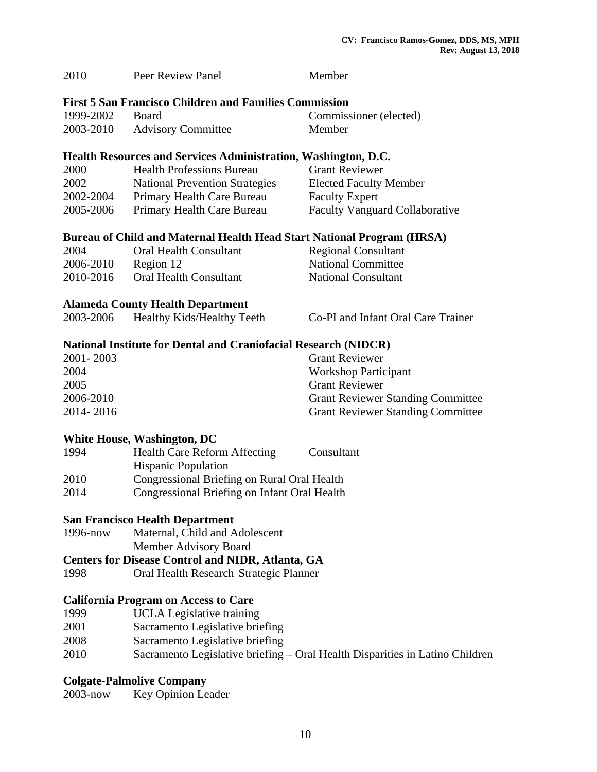| 2010      | Peer Review Panel                                                      | Member                                   |
|-----------|------------------------------------------------------------------------|------------------------------------------|
|           | <b>First 5 San Francisco Children and Families Commission</b>          |                                          |
| 1999-2002 | Board                                                                  | Commissioner (elected)                   |
| 2003-2010 | <b>Advisory Committee</b>                                              | Member                                   |
|           | Health Resources and Services Administration, Washington, D.C.         |                                          |
| 2000      | <b>Health Professions Bureau</b>                                       | <b>Grant Reviewer</b>                    |
| 2002      | <b>National Prevention Strategies</b>                                  | <b>Elected Faculty Member</b>            |
| 2002-2004 | Primary Health Care Bureau                                             | <b>Faculty Expert</b>                    |
| 2005-2006 | Primary Health Care Bureau                                             | <b>Faculty Vanguard Collaborative</b>    |
|           | Bureau of Child and Maternal Health Head Start National Program (HRSA) |                                          |
| 2004      | <b>Oral Health Consultant</b>                                          | <b>Regional Consultant</b>               |
| 2006-2010 | Region 12                                                              | <b>National Committee</b>                |
| 2010-2016 | <b>Oral Health Consultant</b>                                          | <b>National Consultant</b>               |
|           | <b>Alameda County Health Department</b>                                |                                          |
| 2003-2006 | Healthy Kids/Healthy Teeth                                             | Co-PI and Infant Oral Care Trainer       |
|           | <b>National Institute for Dental and Craniofacial Research (NIDCR)</b> |                                          |
| 2001-2003 |                                                                        | <b>Grant Reviewer</b>                    |
| 2004      |                                                                        | <b>Workshop Participant</b>              |
| 2005      |                                                                        | <b>Grant Reviewer</b>                    |
| 2006-2010 |                                                                        | <b>Grant Reviewer Standing Committee</b> |
| 2014-2016 |                                                                        | <b>Grant Reviewer Standing Committee</b> |
|           | <b>White House, Washington, DC</b>                                     |                                          |
| 1994      | <b>Health Care Reform Affecting</b><br><b>Hispanic Population</b>      | Consultant                               |
| 2010      | Congressional Briefing on Rural Oral Health                            |                                          |

#### **San Francisco Health Department**

1996-now Maternal, Child and Adolescent

Member Advisory Board

**Centers for Disease Control and NIDR, Atlanta, GA** 

2014 Congressional Briefing on Infant Oral Health

1998 Oral Health Research Strategic Planner

### **California Program on Access to Care**

- 1999 UCLA Legislative training
- 2001 Sacramento Legislative briefing
- 2008 Sacramento Legislative briefing
- 2010 Sacramento Legislative briefing Oral Health Disparities in Latino Children

### **Colgate-Palmolive Company**

2003-now Key Opinion Leader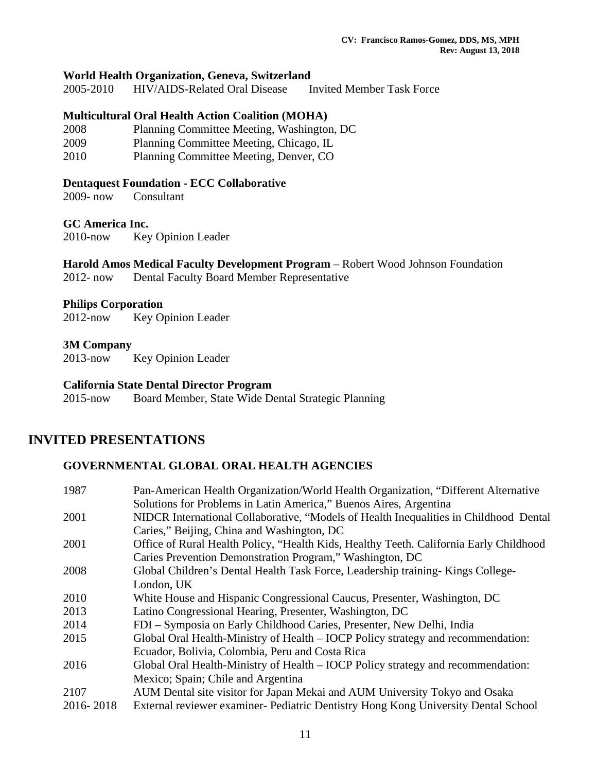#### **World Health Organization, Geneva, Switzerland**

2005-2010 HIV/AIDS-Related Oral Disease Invited Member Task Force

#### **Multicultural Oral Health Action Coalition (MOHA)**

- 2008 Planning Committee Meeting, Washington, DC
- 2009 Planning Committee Meeting, Chicago, IL
- 2010 Planning Committee Meeting, Denver, CO

#### **Dentaquest Foundation - ECC Collaborative**

2009- now Consultant

#### **GC America Inc.**

2010-now Key Opinion Leader

# **Harold Amos Medical Faculty Development Program** – Robert Wood Johnson Foundation

2012- now Dental Faculty Board Member Representative

#### **Philips Corporation**

2012-now Key Opinion Leader

#### **3M Company**

2013-now Key Opinion Leader

#### **California State Dental Director Program**

2015-now Board Member, State Wide Dental Strategic Planning

### **INVITED PRESENTATIONS**

#### **GOVERNMENTAL GLOBAL ORAL HEALTH AGENCIES**

| 1987      | Pan-American Health Organization/World Health Organization, "Different Alternative     |
|-----------|----------------------------------------------------------------------------------------|
|           | Solutions for Problems in Latin America," Buenos Aires, Argentina                      |
| 2001      | NIDCR International Collaborative, "Models of Health Inequalities in Childhood Dental  |
|           | Caries," Beijing, China and Washington, DC                                             |
| 2001      | Office of Rural Health Policy, "Health Kids, Healthy Teeth. California Early Childhood |
|           | Caries Prevention Demonstration Program," Washington, DC                               |
| 2008      | Global Children's Dental Health Task Force, Leadership training-Kings College-         |
|           | London, UK                                                                             |
| 2010      | White House and Hispanic Congressional Caucus, Presenter, Washington, DC               |
| 2013      | Latino Congressional Hearing, Presenter, Washington, DC                                |
| 2014      | FDI – Symposia on Early Childhood Caries, Presenter, New Delhi, India                  |
| 2015      | Global Oral Health-Ministry of Health – IOCP Policy strategy and recommendation:       |
|           | Ecuador, Bolivia, Colombia, Peru and Costa Rica                                        |
| 2016      | Global Oral Health-Ministry of Health – IOCP Policy strategy and recommendation:       |
|           | Mexico; Spain; Chile and Argentina                                                     |
| 2107      | AUM Dental site visitor for Japan Mekai and AUM University Tokyo and Osaka             |
| 2016-2018 | External reviewer examiner- Pediatric Dentistry Hong Kong University Dental School     |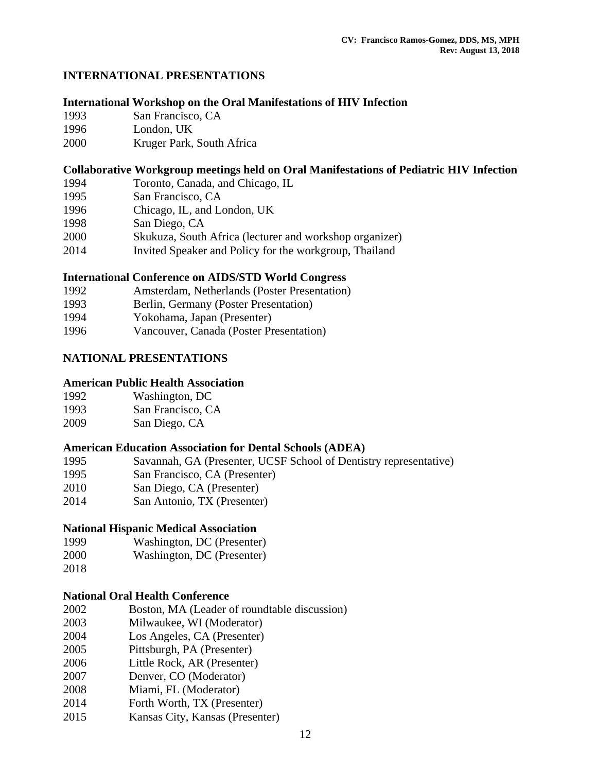### **INTERNATIONAL PRESENTATIONS**

#### **International Workshop on the Oral Manifestations of HIV Infection**

- 1993 San Francisco, CA
- 1996 London, UK
- 2000 Kruger Park, South Africa

### **Collaborative Workgroup meetings held on Oral Manifestations of Pediatric HIV Infection**

- 1994 Toronto, Canada, and Chicago, IL
- 1995 San Francisco, CA
- 1996 Chicago, IL, and London, UK
- 1998 San Diego, CA
- 2000 Skukuza, South Africa (lecturer and workshop organizer)
- 2014 Invited Speaker and Policy for the workgroup, Thailand

### **International Conference on AIDS/STD World Congress**

| 1992 | Amsterdam, Netherlands (Poster Presentation) |
|------|----------------------------------------------|
| 1993 | Berlin, Germany (Poster Presentation)        |
| 1994 | Yokohama, Japan (Presenter)                  |

1996 Vancouver, Canada (Poster Presentation)

### **NATIONAL PRESENTATIONS**

### **American Public Health Association**

| 1992 | Washington, DC |
|------|----------------|
|------|----------------|

- 1993 San Francisco, CA
- 2009 San Diego, CA

### **American Education Association for Dental Schools (ADEA)**

- 1995 Savannah, GA (Presenter, UCSF School of Dentistry representative)
- 1995 San Francisco, CA (Presenter)
- 2010 San Diego, CA (Presenter)
- 2014 San Antonio, TX (Presenter)

### **National Hispanic Medical Association**

- 1999 Washington, DC (Presenter)
- 2000 Washington, DC (Presenter)
- 2018

### **National Oral Health Conference**

- 2002 Boston, MA (Leader of roundtable discussion)
- 2003 Milwaukee, WI (Moderator)
- 2004 Los Angeles, CA (Presenter)
- 2005 Pittsburgh, PA (Presenter)
- 2006 Little Rock, AR (Presenter)
- 2007 Denver, CO (Moderator)
- 2008 Miami, FL (Moderator)
- 2014 Forth Worth, TX (Presenter)
- 2015 Kansas City, Kansas (Presenter)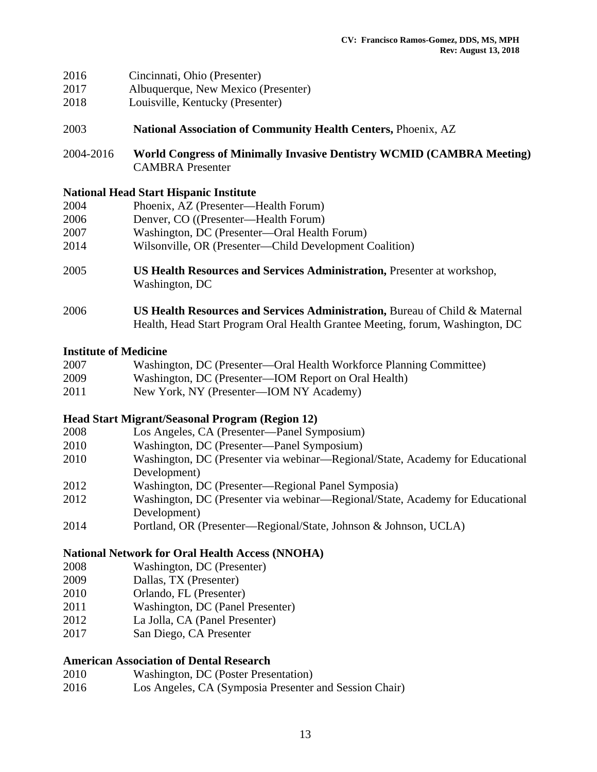| 2016 | Cincinnati, Ohio (Presenter) |  |  |
|------|------------------------------|--|--|
|------|------------------------------|--|--|

- 2017 Albuquerque, New Mexico (Presenter)
- 2018 Louisville, Kentucky (Presenter)
- 2003 **National Association of Community Health Centers,** Phoenix, AZ
- 2004-2016 **World Congress of Minimally Invasive Dentistry WCMID (CAMBRA Meeting)**  CAMBRA Presenter

#### **National Head Start Hispanic Institute**

| 2004 | Phoenix, AZ (Presenter—Health Forum)                                                             |
|------|--------------------------------------------------------------------------------------------------|
| 2006 | Denver, CO ((Presenter—Health Forum)                                                             |
| 2007 | Washington, DC (Presenter—Oral Health Forum)                                                     |
| 2014 | Wilsonville, OR (Presenter—Child Development Coalition)                                          |
| 2005 | <b>US Health Resources and Services Administration, Presenter at workshop,</b><br>Washington, DC |

2006 **US Health Resources and Services Administration,** Bureau of Child & Maternal Health, Head Start Program Oral Health Grantee Meeting, forum, Washington, DC

#### **Institute of Medicine**

| 2007 | Washington, DC (Presenter—Oral Health Workforce Planning Committee) |  |  |  |
|------|---------------------------------------------------------------------|--|--|--|
|------|---------------------------------------------------------------------|--|--|--|

- 2009 Washington, DC (Presenter—IOM Report on Oral Health)
- 2011 New York, NY (Presenter—IOM NY Academy)

#### **Head Start Migrant/Seasonal Program (Region 12)**

- 2008 Los Angeles, CA (Presenter—Panel Symposium)
- 2010 Washington, DC (Presenter—Panel Symposium)
- 2010 Washington, DC (Presenter via webinar—Regional/State, Academy for Educational Development)
- 2012 Washington, DC (Presenter—Regional Panel Symposia)
- 2012 Washington, DC (Presenter via webinar—Regional/State, Academy for Educational Development)
- 2014 Portland, OR (Presenter—Regional/State, Johnson & Johnson, UCLA)

#### **National Network for Oral Health Access (NNOHA)**

- 2008 Washington, DC (Presenter)
- 2009 Dallas, TX (Presenter)
- 2010 Orlando, FL (Presenter)
- 2011 Washington, DC (Panel Presenter)
- 2012 La Jolla, CA (Panel Presenter)
- 2017 San Diego, CA Presenter

#### **American Association of Dental Research**

- 2010 Washington, DC (Poster Presentation)
- 2016 Los Angeles, CA (Symposia Presenter and Session Chair)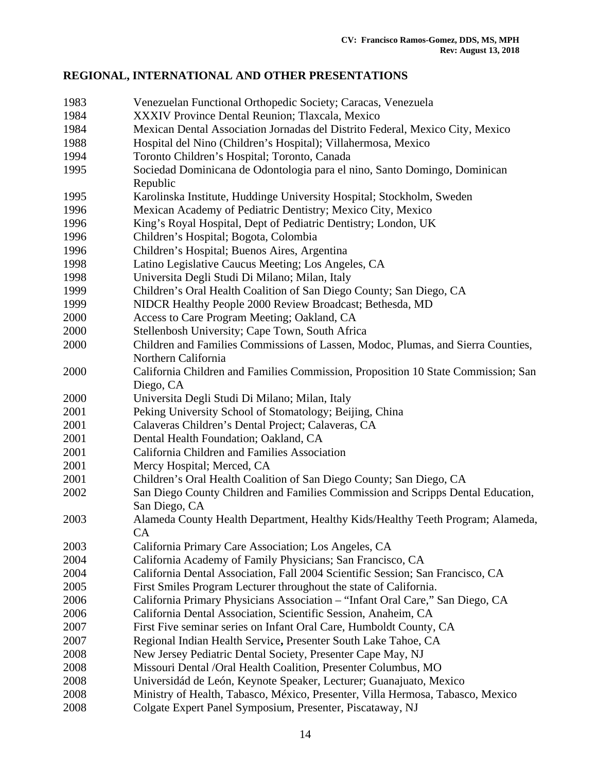# **REGIONAL, INTERNATIONAL AND OTHER PRESENTATIONS**

| 1983 | Venezuelan Functional Orthopedic Society; Caracas, Venezuela                      |
|------|-----------------------------------------------------------------------------------|
| 1984 | XXXIV Province Dental Reunion; Tlaxcala, Mexico                                   |
| 1984 | Mexican Dental Association Jornadas del Distrito Federal, Mexico City, Mexico     |
| 1988 | Hospital del Nino (Children's Hospital); Villahermosa, Mexico                     |
| 1994 | Toronto Children's Hospital; Toronto, Canada                                      |
| 1995 | Sociedad Dominicana de Odontologia para el nino, Santo Domingo, Dominican         |
|      | Republic                                                                          |
| 1995 | Karolinska Institute, Huddinge University Hospital; Stockholm, Sweden             |
| 1996 | Mexican Academy of Pediatric Dentistry; Mexico City, Mexico                       |
| 1996 | King's Royal Hospital, Dept of Pediatric Dentistry; London, UK                    |
| 1996 | Children's Hospital; Bogota, Colombia                                             |
| 1996 | Children's Hospital; Buenos Aires, Argentina                                      |
| 1998 | Latino Legislative Caucus Meeting; Los Angeles, CA                                |
| 1998 | Universita Degli Studi Di Milano; Milan, Italy                                    |
| 1999 | Children's Oral Health Coalition of San Diego County; San Diego, CA               |
| 1999 | NIDCR Healthy People 2000 Review Broadcast; Bethesda, MD                          |
| 2000 | Access to Care Program Meeting; Oakland, CA                                       |
| 2000 | Stellenbosh University; Cape Town, South Africa                                   |
| 2000 | Children and Families Commissions of Lassen, Modoc, Plumas, and Sierra Counties,  |
|      | Northern California                                                               |
| 2000 | California Children and Families Commission, Proposition 10 State Commission; San |
|      | Diego, CA                                                                         |
| 2000 | Universita Degli Studi Di Milano; Milan, Italy                                    |
| 2001 | Peking University School of Stomatology; Beijing, China                           |
| 2001 | Calaveras Children's Dental Project; Calaveras, CA                                |
| 2001 | Dental Health Foundation; Oakland, CA                                             |
| 2001 | California Children and Families Association                                      |
| 2001 | Mercy Hospital; Merced, CA                                                        |
| 2001 | Children's Oral Health Coalition of San Diego County; San Diego, CA               |
| 2002 | San Diego County Children and Families Commission and Scripps Dental Education,   |
|      | San Diego, CA                                                                     |
| 2003 | Alameda County Health Department, Healthy Kids/Healthy Teeth Program; Alameda,    |
|      | CA.                                                                               |
| 2003 | California Primary Care Association; Los Angeles, CA                              |
| 2004 | California Academy of Family Physicians; San Francisco, CA                        |
| 2004 | California Dental Association, Fall 2004 Scientific Session; San Francisco, CA    |
| 2005 | First Smiles Program Lecturer throughout the state of California.                 |
| 2006 | California Primary Physicians Association - "Infant Oral Care," San Diego, CA     |
| 2006 | California Dental Association, Scientific Session, Anaheim, CA                    |
| 2007 | First Five seminar series on Infant Oral Care, Humboldt County, CA                |
| 2007 | Regional Indian Health Service, Presenter South Lake Tahoe, CA                    |
| 2008 | New Jersey Pediatric Dental Society, Presenter Cape May, NJ                       |
| 2008 | Missouri Dental / Oral Health Coalition, Presenter Columbus, MO                   |
| 2008 | Universidád de León, Keynote Speaker, Lecturer; Guanajuato, Mexico                |
| 2008 | Ministry of Health, Tabasco, México, Presenter, Villa Hermosa, Tabasco, Mexico    |
| 2008 | Colgate Expert Panel Symposium, Presenter, Piscataway, NJ                         |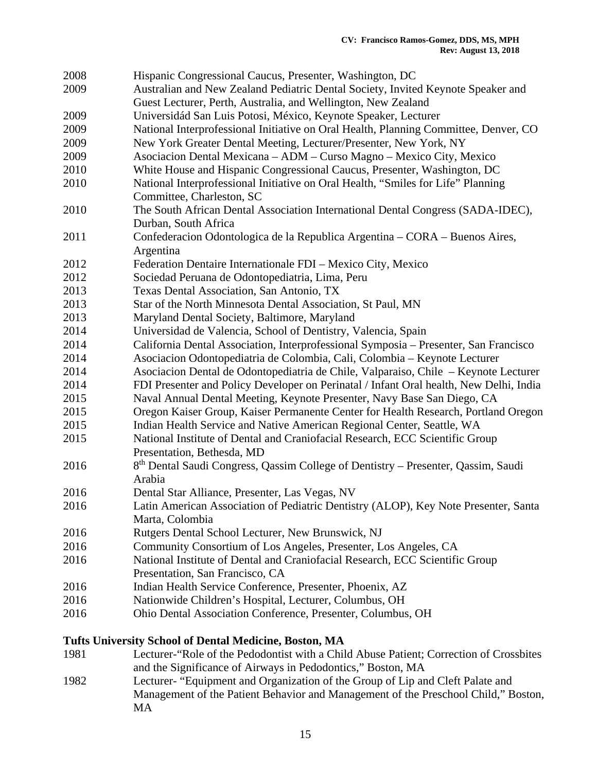| 2008 | Hispanic Congressional Caucus, Presenter, Washington, DC                                      |
|------|-----------------------------------------------------------------------------------------------|
| 2009 | Australian and New Zealand Pediatric Dental Society, Invited Keynote Speaker and              |
|      | Guest Lecturer, Perth, Australia, and Wellington, New Zealand                                 |
| 2009 | Universidád San Luis Potosi, México, Keynote Speaker, Lecturer                                |
| 2009 | National Interprofessional Initiative on Oral Health, Planning Committee, Denver, CO          |
| 2009 | New York Greater Dental Meeting, Lecturer/Presenter, New York, NY                             |
| 2009 | Asociacion Dental Mexicana - ADM - Curso Magno - Mexico City, Mexico                          |
| 2010 | White House and Hispanic Congressional Caucus, Presenter, Washington, DC                      |
| 2010 | National Interprofessional Initiative on Oral Health, "Smiles for Life" Planning              |
|      | Committee, Charleston, SC                                                                     |
| 2010 | The South African Dental Association International Dental Congress (SADA-IDEC),               |
|      | Durban, South Africa                                                                          |
| 2011 | Confederacion Odontologica de la Republica Argentina – CORA – Buenos Aires,                   |
|      | Argentina                                                                                     |
| 2012 | Federation Dentaire Internationale FDI - Mexico City, Mexico                                  |
| 2012 | Sociedad Peruana de Odontopediatria, Lima, Peru                                               |
| 2013 | Texas Dental Association, San Antonio, TX                                                     |
| 2013 | Star of the North Minnesota Dental Association, St Paul, MN                                   |
| 2013 | Maryland Dental Society, Baltimore, Maryland                                                  |
| 2014 | Universidad de Valencia, School of Dentistry, Valencia, Spain                                 |
| 2014 | California Dental Association, Interprofessional Symposia - Presenter, San Francisco          |
| 2014 | Asociacion Odontopediatria de Colombia, Cali, Colombia - Keynote Lecturer                     |
| 2014 | Asociacion Dental de Odontopediatria de Chile, Valparaiso, Chile - Keynote Lecturer           |
| 2014 | FDI Presenter and Policy Developer on Perinatal / Infant Oral health, New Delhi, India        |
| 2015 | Naval Annual Dental Meeting, Keynote Presenter, Navy Base San Diego, CA                       |
| 2015 | Oregon Kaiser Group, Kaiser Permanente Center for Health Research, Portland Oregon            |
| 2015 | Indian Health Service and Native American Regional Center, Seattle, WA                        |
| 2015 | National Institute of Dental and Craniofacial Research, ECC Scientific Group                  |
|      | Presentation, Bethesda, MD                                                                    |
| 2016 | 8 <sup>th</sup> Dental Saudi Congress, Qassim College of Dentistry - Presenter, Qassim, Saudi |
|      | Arabia                                                                                        |
| 2016 | Dental Star Alliance, Presenter, Las Vegas, NV                                                |
| 2016 | Latin American Association of Pediatric Dentistry (ALOP), Key Note Presenter, Santa           |
|      | Marta, Colombia                                                                               |
| 2016 | Rutgers Dental School Lecturer, New Brunswick, NJ                                             |
| 2016 | Community Consortium of Los Angeles, Presenter, Los Angeles, CA                               |
| 2016 | National Institute of Dental and Craniofacial Research, ECC Scientific Group                  |
|      | Presentation, San Francisco, CA                                                               |
| 2016 | Indian Health Service Conference, Presenter, Phoenix, AZ                                      |
| 2016 | Nationwide Children's Hospital, Lecturer, Columbus, OH                                        |
| 2016 | Ohio Dental Association Conference, Presenter, Columbus, OH                                   |
|      | Tufts University School of Dental Medicine, Boston, MA                                        |

- 1981 Lecturer-"Role of the Pedodontist with a Child Abuse Patient; Correction of Crossbites and the Significance of Airways in Pedodontics," Boston, MA
- 1982 Lecturer- "Equipment and Organization of the Group of Lip and Cleft Palate and Management of the Patient Behavior and Management of the Preschool Child," Boston, MA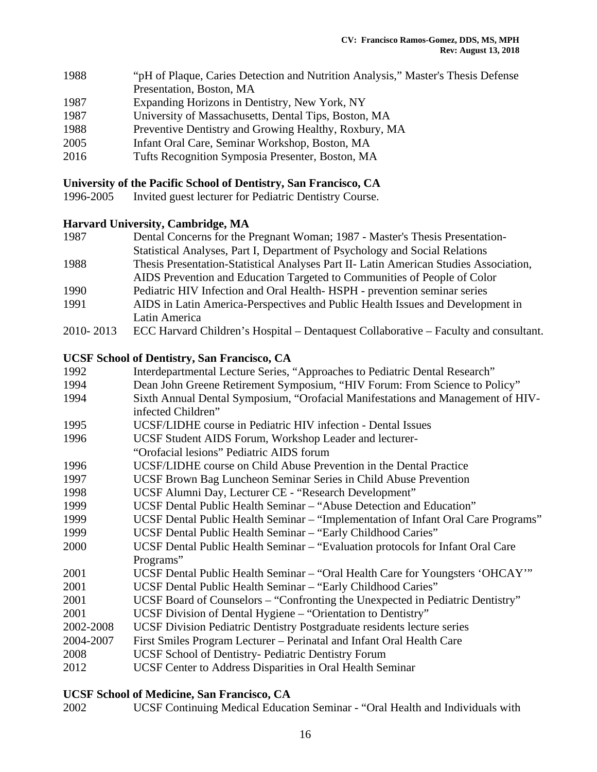| 1988 | "pH of Plaque, Caries Detection and Nutrition Analysis," Master's Thesis Defense |
|------|----------------------------------------------------------------------------------|
|      | Presentation, Boston, MA                                                         |
| 1987 | Expanding Horizons in Dentistry, New York, NY                                    |
| 1987 | University of Massachusetts, Dental Tips, Boston, MA                             |
| 1988 | Preventive Dentistry and Growing Healthy, Roxbury, MA                            |
| 2005 | Infant Oral Care, Seminar Workshop, Boston, MA                                   |
| 2016 | Tufts Decognition Symposic Dresenter, Dector, MA                                 |

# 2016 Tufts Recognition Symposia Presenter, Boston, MA

### **University of the Pacific School of Dentistry, San Francisco, CA**

1996-2005 Invited guest lecturer for Pediatric Dentistry Course.

### **Harvard University, Cambridge, MA**

| 1987      | Dental Concerns for the Pregnant Woman; 1987 - Master's Thesis Presentation-          |
|-----------|---------------------------------------------------------------------------------------|
|           | Statistical Analyses, Part I, Department of Psychology and Social Relations           |
| 1988      | Thesis Presentation-Statistical Analyses Part II- Latin American Studies Association, |
|           | AIDS Prevention and Education Targeted to Communities of People of Color              |
| 1990      | Pediatric HIV Infection and Oral Health-HSPH - prevention seminar series              |
| 1991      | AIDS in Latin America-Perspectives and Public Health Issues and Development in        |
|           | Latin America                                                                         |
| 2010-2013 | ECC Harvard Children's Hospital – Dentaquest Collaborative – Faculty and consultant.  |

#### **UCSF School of Dentistry, San Francisco, CA**

| 1992      | Interdepartmental Lecture Series, "Approaches to Pediatric Dental Research"       |
|-----------|-----------------------------------------------------------------------------------|
| 1994      | Dean John Greene Retirement Symposium, "HIV Forum: From Science to Policy"        |
| 1994      | Sixth Annual Dental Symposium, "Orofacial Manifestations and Management of HIV-   |
|           | infected Children"                                                                |
| 1995      | UCSF/LIDHE course in Pediatric HIV infection - Dental Issues                      |
| 1996      | UCSF Student AIDS Forum, Workshop Leader and lecturer-                            |
|           | "Orofacial lesions" Pediatric AIDS forum                                          |
| 1996      | UCSF/LIDHE course on Child Abuse Prevention in the Dental Practice                |
| 1997      | UCSF Brown Bag Luncheon Seminar Series in Child Abuse Prevention                  |
| 1998      | UCSF Alumni Day, Lecturer CE - "Research Development"                             |
| 1999      | UCSF Dental Public Health Seminar – "Abuse Detection and Education"               |
| 1999      | UCSF Dental Public Health Seminar – "Implementation of Infant Oral Care Programs" |
| 1999      | UCSF Dental Public Health Seminar - "Early Childhood Caries"                      |
| 2000      | UCSF Dental Public Health Seminar – "Evaluation protocols for Infant Oral Care"   |
|           | Programs"                                                                         |
| 2001      | UCSF Dental Public Health Seminar - "Oral Health Care for Youngsters 'OHCAY"      |
| 2001      | UCSF Dental Public Health Seminar - "Early Childhood Caries"                      |
| 2001      | UCSF Board of Counselors – "Confronting the Unexpected in Pediatric Dentistry"    |
| 2001      | UCSF Division of Dental Hygiene - "Orientation to Dentistry"                      |
| 2002-2008 | UCSF Division Pediatric Dentistry Postgraduate residents lecture series           |
| 2004-2007 | First Smiles Program Lecturer – Perinatal and Infant Oral Health Care             |
| 2008      | <b>UCSF School of Dentistry- Pediatric Dentistry Forum</b>                        |
| 2012      | UCSF Center to Address Disparities in Oral Health Seminar                         |
|           |                                                                                   |

### **UCSF School of Medicine, San Francisco, CA**

2002 UCSF Continuing Medical Education Seminar - "Oral Health and Individuals with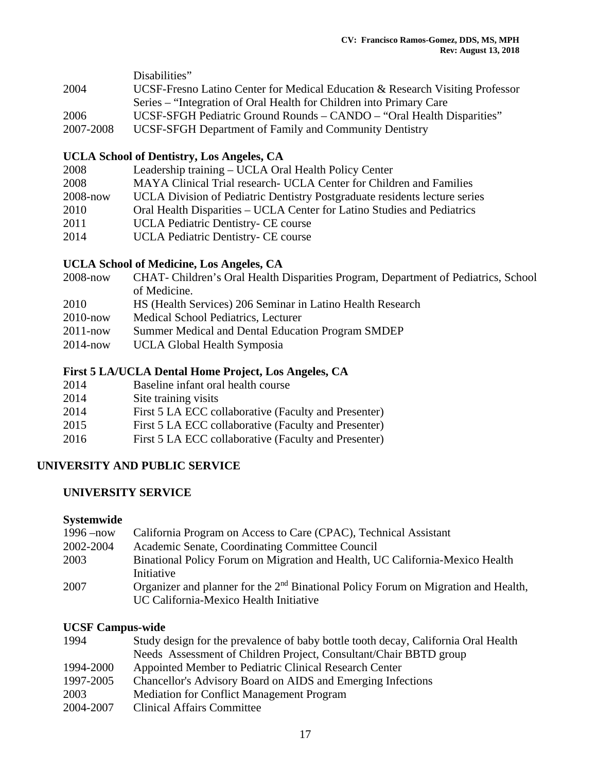|           | Disabilities"                                                                 |
|-----------|-------------------------------------------------------------------------------|
| 2004      | UCSF-Fresno Latino Center for Medical Education & Research Visiting Professor |
|           | Series – "Integration of Oral Health for Children into Primary Care"          |
| 2006      | UCSF-SFGH Pediatric Ground Rounds – CANDO – "Oral Health Disparities"         |
| 2007-2008 | UCSF-SFGH Department of Family and Community Dentistry                        |

### **UCLA School of Dentistry, Los Angeles, CA**

| 2008         | Leadership training – UCLA Oral Health Policy Center                       |
|--------------|----------------------------------------------------------------------------|
| 2008         | MAYA Clinical Trial research UCLA Center for Children and Families         |
| $2008 - now$ | UCLA Division of Pediatric Dentistry Postgraduate residents lecture series |
| 2010         | Oral Health Disparities – UCLA Center for Latino Studies and Pediatrics    |
| 2011         | UCLA Pediatric Dentistry- CE course                                        |
| 2014         | UCLA Pediatric Dentistry- CE course                                        |

### **UCLA School of Medicine, Los Angeles, CA**

| 2008-now | CHAT-Children's Oral Health Disparities Program, Department of Pediatrics, School |
|----------|-----------------------------------------------------------------------------------|
|          | of Medicine.                                                                      |

- 2010 HS (Health Services) 206 Seminar in Latino Health Research
- 2010-now Medical School Pediatrics, Lecturer
- 2011-now Summer Medical and Dental Education Program SMDEP
- 2014-now UCLA Global Health Symposia

### **First 5 LA/UCLA Dental Home Project, Los Angeles, CA**

- 2014 Baseline infant oral health course
- 2014 Site training visits
- 2014 First 5 LA ECC collaborative (Faculty and Presenter)
- 2015 First 5 LA ECC collaborative (Faculty and Presenter)
- 2016 First 5 LA ECC collaborative (Faculty and Presenter)

### **UNIVERSITY AND PUBLIC SERVICE**

### **UNIVERSITY SERVICE**

#### **Systemwide**

| $1996 - now$ | California Program on Access to Care (CPAC), Technical Assistant                                                                         |
|--------------|------------------------------------------------------------------------------------------------------------------------------------------|
| 2002-2004    | Academic Senate, Coordinating Committee Council                                                                                          |
| 2003         | Binational Policy Forum on Migration and Health, UC California-Mexico Health<br>Initiative                                               |
| 2007         | Organizer and planner for the 2 <sup>nd</sup> Binational Policy Forum on Migration and Health,<br>UC California-Mexico Health Initiative |

### **UCSF Campus-wide**

| 1994      | Study design for the prevalence of baby bottle tooth decay, California Oral Health |
|-----------|------------------------------------------------------------------------------------|
|           | Needs Assessment of Children Project, Consultant/Chair BBTD group                  |
| 1994-2000 | Appointed Member to Pediatric Clinical Research Center                             |
| 1997-2005 | Chancellor's Advisory Board on AIDS and Emerging Infections                        |
| 2003      | <b>Mediation for Conflict Management Program</b>                                   |
| 2004-2007 | <b>Clinical Affairs Committee</b>                                                  |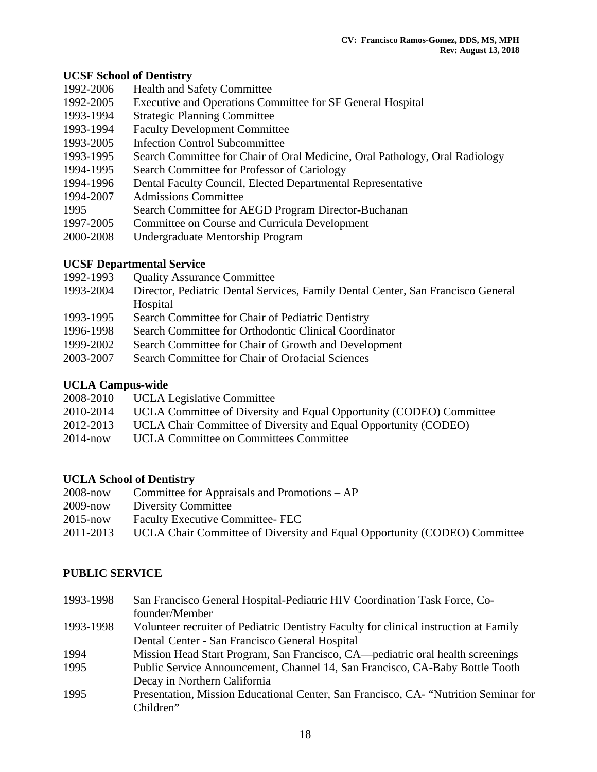### **UCSF School of Dentistry**

- 1992-2006 Health and Safety Committee
- 1992-2005 Executive and Operations Committee for SF General Hospital
- 1993-1994 Strategic Planning Committee
- 1993-1994 Faculty Development Committee
- 1993-2005 Infection Control Subcommittee
- 1993-1995 Search Committee for Chair of Oral Medicine, Oral Pathology, Oral Radiology
- 1994-1995 Search Committee for Professor of Cariology
- 1994-1996 Dental Faculty Council, Elected Departmental Representative
- 1994-2007 Admissions Committee
- 1995 Search Committee for AEGD Program Director-Buchanan
- 1997-2005 Committee on Course and Curricula Development
- 2000-2008 Undergraduate Mentorship Program

### **UCSF Departmental Service**

- 1992-1993 Quality Assurance Committee
- 1993-2004 Director, Pediatric Dental Services, Family Dental Center, San Francisco General Hospital
- 1993-1995 Search Committee for Chair of Pediatric Dentistry
- 1996-1998 Search Committee for Orthodontic Clinical Coordinator
- 1999-2002 Search Committee for Chair of Growth and Development
- 2003-2007 Search Committee for Chair of Orofacial Sciences

### **UCLA Campus-wide**

- 2008-2010 UCLA Legislative Committee
- 2010-2014 UCLA Committee of Diversity and Equal Opportunity (CODEO) Committee
- 2012-2013 UCLA Chair Committee of Diversity and Equal Opportunity (CODEO)
- 2014-now UCLA Committee on Committees Committee

### **UCLA School of Dentistry**

| 2008-now  | Committee for Appraisals and Promotions – AP                              |
|-----------|---------------------------------------------------------------------------|
| 2009-now  | <b>Diversity Committee</b>                                                |
| 2015-now  | <b>Faculty Executive Committee-FEC</b>                                    |
| 2011-2013 | UCLA Chair Committee of Diversity and Equal Opportunity (CODEO) Committee |

### **PUBLIC SERVICE**

1993-1998 San Francisco General Hospital-Pediatric HIV Coordination Task Force, Co founder/Member 1993-1998 Volunteer recruiter of Pediatric Dentistry Faculty for clinical instruction at Family Dental Center - San Francisco General Hospital 1994 Mission Head Start Program, San Francisco, CA—pediatric oral health screenings 1995 Public Service Announcement, Channel 14, San Francisco, CA-Baby Bottle Tooth Decay in Northern California 1995 Presentation, Mission Educational Center, San Francisco, CA- "Nutrition Seminar for Children"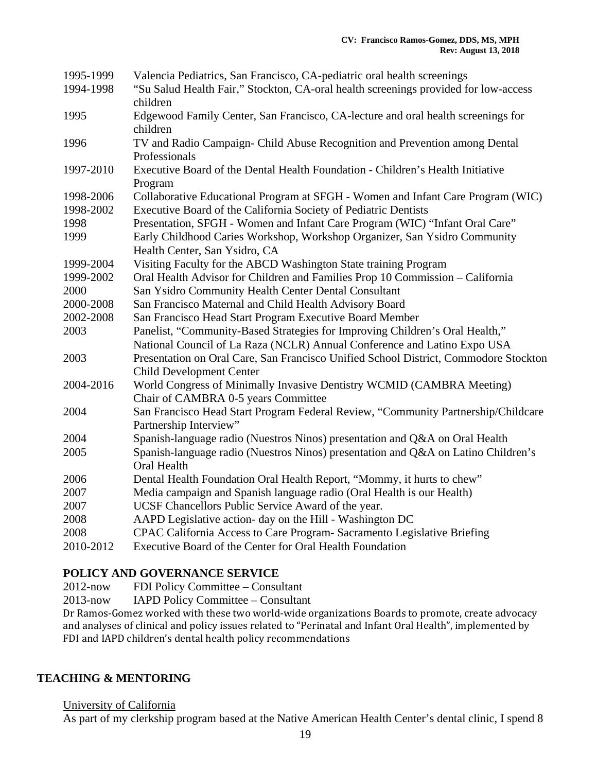| 1995-1999 | Valencia Pediatrics, San Francisco, CA-pediatric oral health screenings                         |
|-----------|-------------------------------------------------------------------------------------------------|
| 1994-1998 | "Su Salud Health Fair," Stockton, CA-oral health screenings provided for low-access<br>children |
| 1995      | Edgewood Family Center, San Francisco, CA-lecture and oral health screenings for                |
|           | children                                                                                        |
| 1996      | TV and Radio Campaign- Child Abuse Recognition and Prevention among Dental                      |
|           | Professionals                                                                                   |
| 1997-2010 | Executive Board of the Dental Health Foundation - Children's Health Initiative                  |
|           | Program                                                                                         |
| 1998-2006 | Collaborative Educational Program at SFGH - Women and Infant Care Program (WIC)                 |
| 1998-2002 | Executive Board of the California Society of Pediatric Dentists                                 |
| 1998      | Presentation, SFGH - Women and Infant Care Program (WIC) "Infant Oral Care"                     |
| 1999      | Early Childhood Caries Workshop, Workshop Organizer, San Ysidro Community                       |
|           | Health Center, San Ysidro, CA                                                                   |
| 1999-2004 | Visiting Faculty for the ABCD Washington State training Program                                 |
| 1999-2002 | Oral Health Advisor for Children and Families Prop 10 Commission - California                   |
| 2000      | San Ysidro Community Health Center Dental Consultant                                            |
| 2000-2008 | San Francisco Maternal and Child Health Advisory Board                                          |
| 2002-2008 | San Francisco Head Start Program Executive Board Member                                         |
| 2003      | Panelist, "Community-Based Strategies for Improving Children's Oral Health,"                    |
|           | National Council of La Raza (NCLR) Annual Conference and Latino Expo USA                        |
| 2003      | Presentation on Oral Care, San Francisco Unified School District, Commodore Stockton            |
|           | <b>Child Development Center</b>                                                                 |
| 2004-2016 | World Congress of Minimally Invasive Dentistry WCMID (CAMBRA Meeting)                           |
|           | Chair of CAMBRA 0-5 years Committee                                                             |
| 2004      | San Francisco Head Start Program Federal Review, "Community Partnership/Childcare               |
|           | Partnership Interview"                                                                          |
| 2004      | Spanish-language radio (Nuestros Ninos) presentation and Q&A on Oral Health                     |
| 2005      | Spanish-language radio (Nuestros Ninos) presentation and Q&A on Latino Children's               |
|           | Oral Health                                                                                     |
| 2006      | Dental Health Foundation Oral Health Report, "Mommy, it hurts to chew"                          |
| 2007      | Media campaign and Spanish language radio (Oral Health is our Health)                           |
| 2007      | UCSF Chancellors Public Service Award of the year.                                              |
| 2008      | AAPD Legislative action- day on the Hill - Washington DC                                        |
| 2008      | CPAC California Access to Care Program- Sacramento Legislative Briefing                         |
| 2010-2012 | Executive Board of the Center for Oral Health Foundation                                        |

### **POLICY AND GOVERNANCE SERVICE**

2012-now FDI Policy Committee – Consultant

2013-now IAPD Policy Committee – Consultant

Dr Ramos-Gomez worked with these two world-wide organizations Boards to promote, create advocacy and analyses of clinical and policy issues related to "Perinatal and Infant Oral Health", implemented by FDI and IAPD children's dental health policy recommendations

### **TEACHING & MENTORING**

#### University of California

As part of my clerkship program based at the Native American Health Center's dental clinic, I spend 8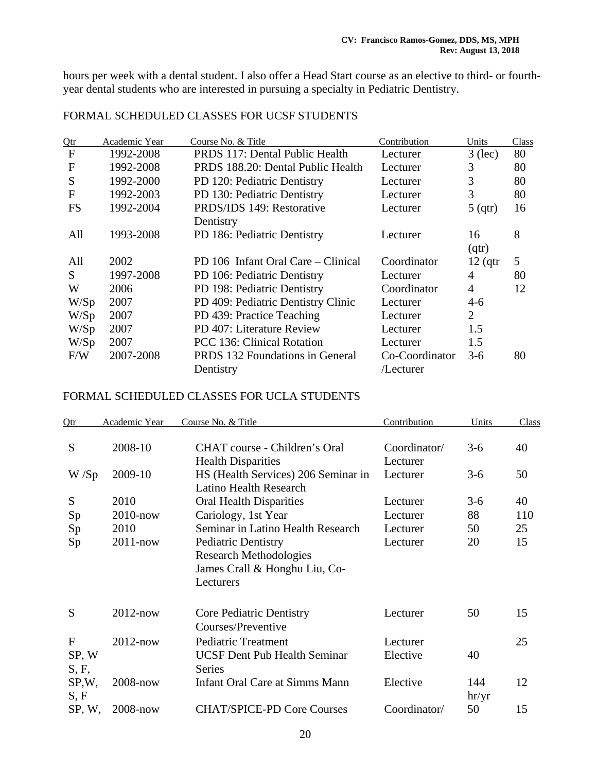hours per week with a dental student. I also offer a Head Start course as an elective to third- or fourthyear dental students who are interested in pursuing a specialty in Pediatric Dentistry.

| Qtr          | Academic Year | Course No. & Title                     | Contribution   | Units     | Class |
|--------------|---------------|----------------------------------------|----------------|-----------|-------|
| $\mathbf{F}$ | 1992-2008     | PRDS 117: Dental Public Health         | Lecturer       | $3$ (lec) | 80    |
| $\mathbf{F}$ | 1992-2008     | PRDS 188.20: Dental Public Health      | Lecturer       | 3         | 80    |
| S            | 1992-2000     | PD 120: Pediatric Dentistry            | Lecturer       | 3         | 80    |
| $\mathbf{F}$ | 1992-2003     | PD 130: Pediatric Dentistry            | Lecturer       | 3         | 80    |
| <b>FS</b>    | 1992-2004     | PRDS/IDS 149: Restorative              | Lecturer       | 5(qtr)    | 16    |
|              |               | Dentistry                              |                |           |       |
| All          | 1993-2008     | PD 186: Pediatric Dentistry            | Lecturer       | 16        | 8     |
|              |               |                                        |                | (qtr)     |       |
| All          | 2002          | PD 106 Infant Oral Care – Clinical     | Coordinator    | $12$ (qtr | 5     |
| S            | 1997-2008     | PD 106: Pediatric Dentistry            | Lecturer       | 4         | 80    |
| W            | 2006          | PD 198: Pediatric Dentistry            | Coordinator    | 4         | 12    |
| W/Sp         | 2007          | PD 409: Pediatric Dentistry Clinic     | Lecturer       | 4-6       |       |
| W/Sp         | 2007          | PD 439: Practice Teaching              | Lecturer       | 2         |       |
| W/Sp         | 2007          | PD 407: Literature Review              | Lecturer       | 1.5       |       |
| W/Sp         | 2007          | <b>PCC</b> 136: Clinical Rotation      | Lecturer       | 1.5       |       |
| F/W          | 2007-2008     | <b>PRDS</b> 132 Foundations in General | Co-Coordinator | $3-6$     | 80    |
|              |               | Dentistry                              | /Lecturer      |           |       |

### FORMAL SCHEDULED CLASSES FOR UCSF STUDENTS

### FORMAL SCHEDULED CLASSES FOR UCLA STUDENTS

| Qtr                 | Academic Year | Course No. & Title                                                                                        | Contribution             | Units        | Class |
|---------------------|---------------|-----------------------------------------------------------------------------------------------------------|--------------------------|--------------|-------|
| S                   | 2008-10       | CHAT course - Children's Oral<br><b>Health Disparities</b>                                                | Coordinator/<br>Lecturer | $3-6$        | 40    |
| W/Sp                | 2009-10       | HS (Health Services) 206 Seminar in<br><b>Latino Health Research</b>                                      | Lecturer                 | $3-6$        | 50    |
| S                   | 2010          | <b>Oral Health Disparities</b>                                                                            | Lecturer                 | $3-6$        | 40    |
| Sp                  | $2010$ -now   | Cariology, 1st Year                                                                                       | Lecturer                 | 88           | 110   |
| Sp                  | 2010          | Seminar in Latino Health Research                                                                         | Lecturer                 | 50           | 25    |
| Sp                  | $2011 - now$  | <b>Pediatric Dentistry</b><br><b>Research Methodologies</b><br>James Crall & Honghu Liu, Co-<br>Lecturers | Lecturer                 | 20           | 15    |
| S                   | $2012$ -now   | Core Pediatric Dentistry<br>Courses/Preventive                                                            | Lecturer                 | 50           | 15    |
| F<br>SP, W<br>S, F, | $2012$ -now   | <b>Pediatric Treatment</b><br><b>UCSF Dent Pub Health Seminar</b><br><b>Series</b>                        | Lecturer<br>Elective     | 40           | 25    |
| SP, W,<br>S, F      | $2008 - now$  | <b>Infant Oral Care at Simms Mann</b>                                                                     | Elective                 | 144<br>hr/yr | 12    |
| SP, W,              | 2008-now      | <b>CHAT/SPICE-PD Core Courses</b>                                                                         | Coordinator/             | 50           | 15    |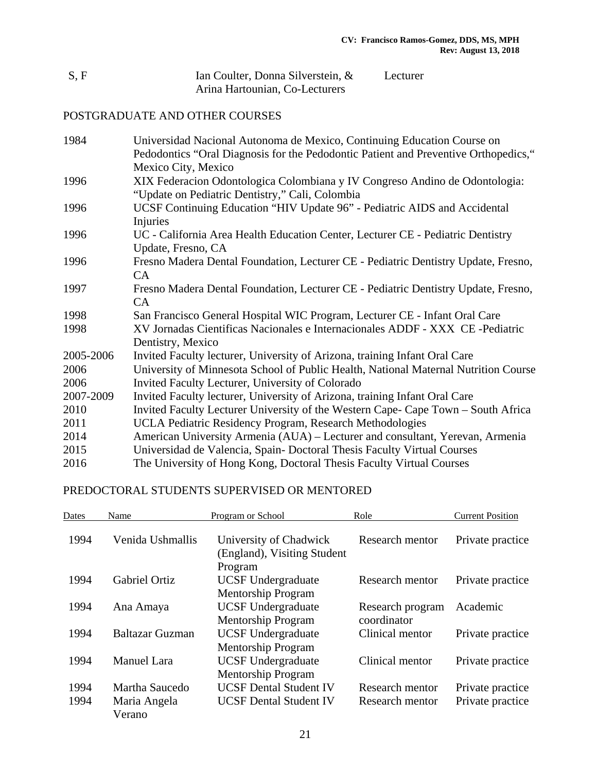| S, F | Ian Coulter, Donna Silverstein, & | Lecturer |
|------|-----------------------------------|----------|
|      | Arina Hartounian, Co-Lecturers    |          |

# POSTGRADUATE AND OTHER COURSES

| 1984      | Universidad Nacional Autonoma de Mexico, Continuing Education Course on             |
|-----------|-------------------------------------------------------------------------------------|
|           | Pedodontics "Oral Diagnosis for the Pedodontic Patient and Preventive Orthopedics," |
|           | Mexico City, Mexico                                                                 |
| 1996      | XIX Federacion Odontologica Colombiana y IV Congreso Andino de Odontologia:         |
|           | "Update on Pediatric Dentistry," Cali, Colombia                                     |
| 1996      | UCSF Continuing Education "HIV Update 96" - Pediatric AIDS and Accidental           |
|           | Injuries                                                                            |
| 1996      | UC - California Area Health Education Center, Lecturer CE - Pediatric Dentistry     |
|           | Update, Fresno, CA                                                                  |
| 1996      | Fresno Madera Dental Foundation, Lecturer CE - Pediatric Dentistry Update, Fresno,  |
|           | CA                                                                                  |
| 1997      | Fresno Madera Dental Foundation, Lecturer CE - Pediatric Dentistry Update, Fresno,  |
|           | CA                                                                                  |
| 1998      | San Francisco General Hospital WIC Program, Lecturer CE - Infant Oral Care          |
| 1998      | XV Jornadas Científicas Nacionales e Internacionales ADDF - XXX CE -Pediatric       |
|           | Dentistry, Mexico                                                                   |
| 2005-2006 | Invited Faculty lecturer, University of Arizona, training Infant Oral Care          |
| 2006      | University of Minnesota School of Public Health, National Maternal Nutrition Course |
| 2006      | Invited Faculty Lecturer, University of Colorado                                    |
| 2007-2009 | Invited Faculty lecturer, University of Arizona, training Infant Oral Care          |
| 2010      | Invited Faculty Lecturer University of the Western Cape- Cape Town – South Africa   |
| 2011      | UCLA Pediatric Residency Program, Research Methodologies                            |
| 2014      | American University Armenia (AUA) – Lecturer and consultant, Yerevan, Armenia       |
| 2015      | Universidad de Valencia, Spain-Doctoral Thesis Faculty Virtual Courses              |
| 2016      | The University of Hong Kong, Doctoral Thesis Faculty Virtual Courses                |

### PREDOCTORAL STUDENTS SUPERVISED OR MENTORED

| Dates | Name                   | Program or School                                     | Role             | <b>Current Position</b> |
|-------|------------------------|-------------------------------------------------------|------------------|-------------------------|
| 1994  | Venida Ushmallis       | University of Chadwick<br>(England), Visiting Student | Research mentor  | Private practice        |
|       |                        | Program                                               |                  |                         |
| 1994  | <b>Gabriel Ortiz</b>   | <b>UCSF</b> Undergraduate                             | Research mentor  | Private practice        |
|       |                        | <b>Mentorship Program</b>                             |                  |                         |
| 1994  | Ana Amaya              | <b>UCSF Undergraduate</b>                             | Research program | Academic                |
|       |                        | <b>Mentorship Program</b>                             | coordinator      |                         |
| 1994  | <b>Baltazar Guzman</b> | <b>UCSF Undergraduate</b>                             | Clinical mentor  | Private practice        |
|       |                        | <b>Mentorship Program</b>                             |                  |                         |
| 1994  | <b>Manuel Lara</b>     | <b>UCSF Undergraduate</b>                             | Clinical mentor  | Private practice        |
|       |                        | <b>Mentorship Program</b>                             |                  |                         |
| 1994  | Martha Saucedo         | <b>UCSF Dental Student IV</b>                         | Research mentor  | Private practice        |
| 1994  | Maria Angela           | <b>UCSF Dental Student IV</b>                         | Research mentor  | Private practice        |
|       | Verano                 |                                                       |                  |                         |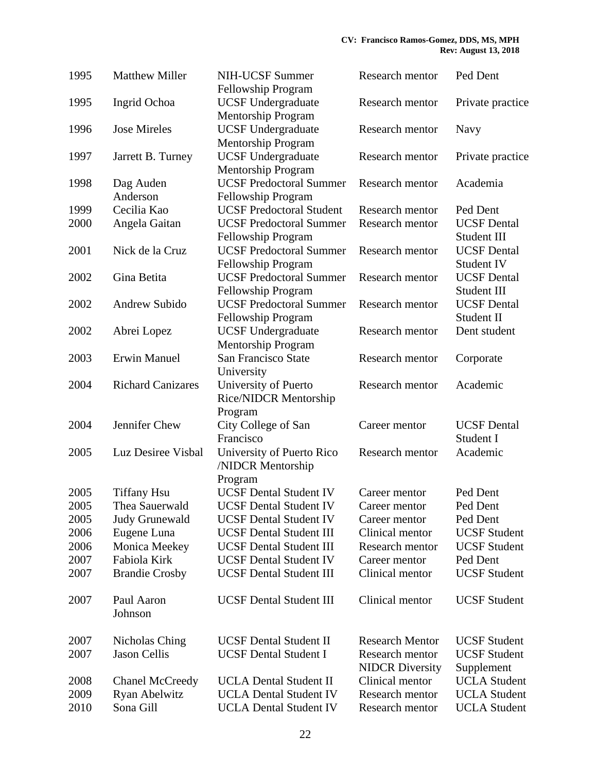| 1995 | <b>Matthew Miller</b>                | <b>NIH-UCSF Summer</b><br>Fellowship Program                       | Research mentor                           | Ped Dent                          |
|------|--------------------------------------|--------------------------------------------------------------------|-------------------------------------------|-----------------------------------|
| 1995 | Ingrid Ochoa                         | <b>UCSF Undergraduate</b>                                          | Research mentor                           | Private practice                  |
|      |                                      | <b>Mentorship Program</b>                                          |                                           |                                   |
| 1996 | <b>Jose Mireles</b>                  | <b>UCSF Undergraduate</b><br><b>Mentorship Program</b>             | Research mentor                           | Navy                              |
| 1997 | Jarrett B. Turney                    | <b>UCSF Undergraduate</b><br><b>Mentorship Program</b>             | Research mentor                           | Private practice                  |
| 1998 | Dag Auden<br>Anderson                | <b>UCSF Predoctoral Summer</b><br>Fellowship Program               | Research mentor                           | Academia                          |
| 1999 | Cecilia Kao                          | <b>UCSF Predoctoral Student</b>                                    | Research mentor                           | Ped Dent                          |
| 2000 | Angela Gaitan                        | <b>UCSF Predoctoral Summer</b><br>Fellowship Program               | Research mentor                           | <b>UCSF</b> Dental<br>Student III |
| 2001 | Nick de la Cruz                      | <b>UCSF Predoctoral Summer</b><br>Fellowship Program               | Research mentor                           | <b>UCSF</b> Dental<br>Student IV  |
| 2002 | Gina Betita                          | <b>UCSF Predoctoral Summer</b>                                     | Research mentor                           | <b>UCSF</b> Dental                |
| 2002 | <b>Andrew Subido</b>                 | Fellowship Program<br><b>UCSF Predoctoral Summer</b>               | Research mentor                           | Student III<br><b>UCSF</b> Dental |
| 2002 | Abrei Lopez                          | Fellowship Program<br><b>UCSF Undergraduate</b>                    | Research mentor                           | Student II<br>Dent student        |
| 2003 | <b>Erwin Manuel</b>                  | <b>Mentorship Program</b><br>San Francisco State                   | Research mentor                           | Corporate                         |
| 2004 | <b>Richard Canizares</b>             | University<br>University of Puerto<br><b>Rice/NIDCR Mentorship</b> | Research mentor                           | Academic                          |
| 2004 | Jennifer Chew                        | Program<br>City College of San<br>Francisco                        | Career mentor                             | <b>UCSF</b> Dental<br>Student I   |
| 2005 | Luz Desiree Visbal                   | University of Puerto Rico<br>/NIDCR Mentorship                     | Research mentor                           | Academic                          |
| 2005 |                                      | Program<br><b>UCSF Dental Student IV</b>                           |                                           | Ped Dent                          |
| 2005 | <b>Tiffany Hsu</b><br>Thea Sauerwald | <b>UCSF Dental Student IV</b>                                      | Career mentor                             | Ped Dent                          |
| 2005 |                                      | <b>UCSF Dental Student IV</b>                                      | Career mentor<br>Career mentor            | Ped Dent                          |
| 2006 | <b>Judy Grunewald</b><br>Eugene Luna | <b>UCSF Dental Student III</b>                                     | Clinical mentor                           | <b>UCSF</b> Student               |
| 2006 | Monica Meekey                        | <b>UCSF Dental Student III</b>                                     | <b>Research mentor</b>                    | <b>UCSF Student</b>               |
| 2007 | Fabiola Kirk                         | <b>UCSF Dental Student IV</b>                                      | Career mentor                             | Ped Dent                          |
| 2007 | <b>Brandie Crosby</b>                | <b>UCSF Dental Student III</b>                                     | Clinical mentor                           | <b>UCSF</b> Student               |
| 2007 | Paul Aaron<br>Johnson                | <b>UCSF Dental Student III</b>                                     | Clinical mentor                           | <b>UCSF</b> Student               |
| 2007 | Nicholas Ching                       | <b>UCSF Dental Student II</b>                                      | <b>Research Mentor</b>                    | <b>UCSF Student</b>               |
| 2007 | <b>Jason Cellis</b>                  | <b>UCSF Dental Student I</b>                                       | Research mentor<br><b>NIDCR</b> Diversity | <b>UCSF</b> Student<br>Supplement |
| 2008 | <b>Chanel McCreedy</b>               | <b>UCLA Dental Student II</b>                                      | Clinical mentor                           | <b>UCLA</b> Student               |
| 2009 | Ryan Abelwitz                        | <b>UCLA Dental Student IV</b>                                      | Research mentor                           | <b>UCLA</b> Student               |
| 2010 | Sona Gill                            | <b>UCLA Dental Student IV</b>                                      | Research mentor                           | <b>UCLA</b> Student               |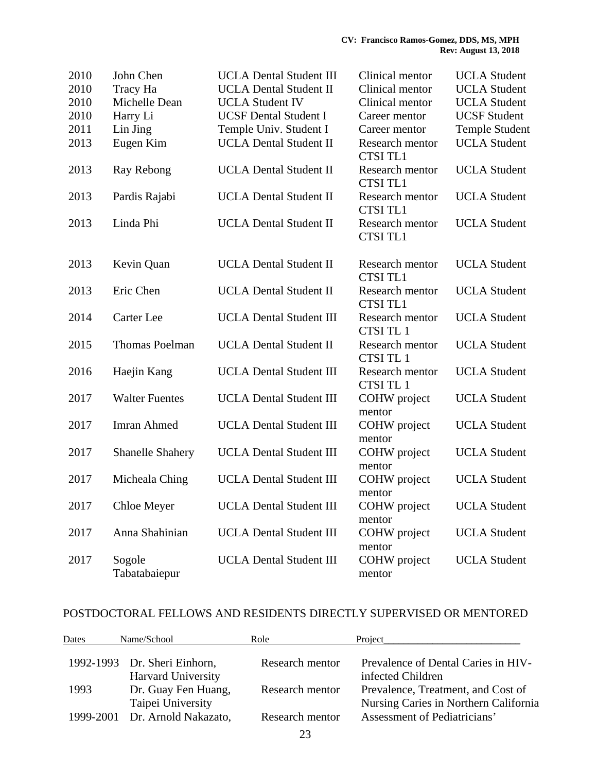| 2010 | John Chen               | <b>UCLA Dental Student III</b> | Clinical mentor                    | <b>UCLA</b> Student   |
|------|-------------------------|--------------------------------|------------------------------------|-----------------------|
| 2010 | Tracy Ha                | <b>UCLA Dental Student II</b>  | Clinical mentor                    | <b>UCLA</b> Student   |
| 2010 | Michelle Dean           | <b>UCLA Student IV</b>         | Clinical mentor                    | <b>UCLA</b> Student   |
| 2010 | Harry Li                | <b>UCSF Dental Student I</b>   | Career mentor                      | <b>UCSF Student</b>   |
| 2011 | Lin Jing                | Temple Univ. Student I         | Career mentor                      | <b>Temple Student</b> |
| 2013 | Eugen Kim               | <b>UCLA Dental Student II</b>  | Research mentor<br><b>CTSI TL1</b> | <b>UCLA</b> Student   |
| 2013 | Ray Rebong              | <b>UCLA Dental Student II</b>  | Research mentor<br><b>CTSI TL1</b> | <b>UCLA</b> Student   |
| 2013 | Pardis Rajabi           | <b>UCLA Dental Student II</b>  | Research mentor<br><b>CTSI TL1</b> | <b>UCLA</b> Student   |
| 2013 | Linda Phi               | <b>UCLA Dental Student II</b>  | Research mentor<br><b>CTSI TL1</b> | <b>UCLA</b> Student   |
| 2013 | Kevin Quan              | <b>UCLA Dental Student II</b>  | Research mentor<br><b>CTSI TL1</b> | <b>UCLA</b> Student   |
| 2013 | Eric Chen               | <b>UCLA Dental Student II</b>  | Research mentor<br><b>CTSI TL1</b> | <b>UCLA</b> Student   |
| 2014 | Carter Lee              | <b>UCLA Dental Student III</b> | Research mentor<br>CTSI TL 1       | <b>UCLA</b> Student   |
| 2015 | <b>Thomas Poelman</b>   | <b>UCLA Dental Student II</b>  | Research mentor<br>CTSI TL 1       | <b>UCLA</b> Student   |
| 2016 | Haejin Kang             | <b>UCLA Dental Student III</b> | Research mentor<br>CTSI TL 1       | <b>UCLA</b> Student   |
| 2017 | <b>Walter Fuentes</b>   | <b>UCLA Dental Student III</b> | COHW project<br>mentor             | <b>UCLA</b> Student   |
| 2017 | <b>Imran Ahmed</b>      | <b>UCLA Dental Student III</b> | COHW project<br>mentor             | <b>UCLA</b> Student   |
| 2017 | <b>Shanelle Shahery</b> | <b>UCLA Dental Student III</b> | COHW project<br>mentor             | <b>UCLA</b> Student   |
| 2017 | Micheala Ching          | <b>UCLA Dental Student III</b> | COHW project<br>mentor             | <b>UCLA</b> Student   |
| 2017 | Chloe Meyer             | <b>UCLA Dental Student III</b> | COHW project<br>mentor             | <b>UCLA</b> Student   |
| 2017 | Anna Shahinian          | <b>UCLA Dental Student III</b> | COHW project<br>mentor             | <b>UCLA</b> Student   |
| 2017 | Sogole<br>Tabatabaiepur | <b>UCLA Dental Student III</b> | COHW project<br>mentor             | <b>UCLA</b> Student   |

### POSTDOCTORAL FELLOWS AND RESIDENTS DIRECTLY SUPERVISED OR MENTORED

| Dates     | Name/School                                               | Role            | Project                                                                     |
|-----------|-----------------------------------------------------------|-----------------|-----------------------------------------------------------------------------|
|           | 1992-1993 Dr. Sheri Einhorn,<br><b>Harvard University</b> | Research mentor | Prevalence of Dental Caries in HIV-<br>infected Children                    |
| 1993      | Dr. Guay Fen Huang,<br>Taipei University                  | Research mentor | Prevalence, Treatment, and Cost of<br>Nursing Caries in Northern California |
| 1999-2001 | Dr. Arnold Nakazato,                                      | Research mentor | Assessment of Pediatricians'                                                |
|           |                                                           | 23              |                                                                             |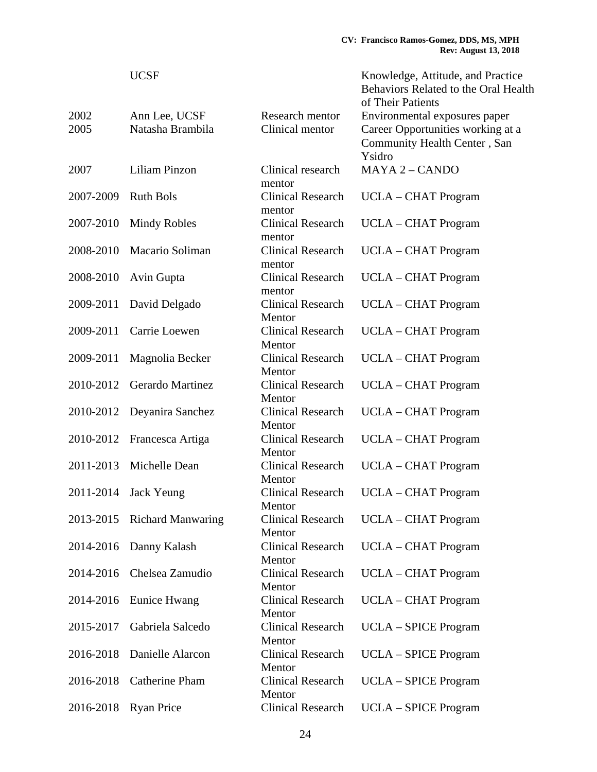|           | <b>UCSF</b>                 |                                    | Knowledge, Attitude, and Practice<br>Behaviors Related to the Oral Health<br>of Their Patients |
|-----------|-----------------------------|------------------------------------|------------------------------------------------------------------------------------------------|
| 2002      | Ann Lee, UCSF               | Research mentor                    | Environmental exposures paper                                                                  |
| 2005      | Natasha Brambila            | Clinical mentor                    | Career Opportunities working at a                                                              |
|           |                             |                                    | Community Health Center, San                                                                   |
|           |                             |                                    | Ysidro                                                                                         |
| 2007      | Liliam Pinzon               | Clinical research                  | <b>MAYA 2 - CANDO</b>                                                                          |
|           |                             |                                    |                                                                                                |
| 2007-2009 | <b>Ruth Bols</b>            | mentor<br><b>Clinical Research</b> |                                                                                                |
|           |                             |                                    | UCLA – CHAT Program                                                                            |
|           |                             | mentor                             |                                                                                                |
| 2007-2010 | <b>Mindy Robles</b>         | <b>Clinical Research</b>           | <b>UCLA – CHAT Program</b>                                                                     |
|           |                             | mentor                             |                                                                                                |
| 2008-2010 | Macario Soliman             | <b>Clinical Research</b>           | <b>UCLA - CHAT Program</b>                                                                     |
|           |                             | mentor                             |                                                                                                |
| 2008-2010 | Avin Gupta                  | <b>Clinical Research</b>           | <b>UCLA – CHAT Program</b>                                                                     |
|           |                             | mentor                             |                                                                                                |
| 2009-2011 | David Delgado               | <b>Clinical Research</b>           | <b>UCLA – CHAT Program</b>                                                                     |
|           |                             | Mentor                             |                                                                                                |
| 2009-2011 | Carrie Loewen               | <b>Clinical Research</b>           | <b>UCLA – CHAT Program</b>                                                                     |
|           |                             | Mentor                             |                                                                                                |
| 2009-2011 | Magnolia Becker             | <b>Clinical Research</b>           | <b>UCLA – CHAT Program</b>                                                                     |
|           |                             | Mentor                             |                                                                                                |
| 2010-2012 | Gerardo Martinez            | <b>Clinical Research</b>           | <b>UCLA – CHAT Program</b>                                                                     |
|           |                             | Mentor                             |                                                                                                |
| 2010-2012 | Deyanira Sanchez            | <b>Clinical Research</b>           | <b>UCLA – CHAT Program</b>                                                                     |
|           |                             | Mentor                             |                                                                                                |
| 2010-2012 | Francesca Artiga            | <b>Clinical Research</b>           | <b>UCLA – CHAT Program</b>                                                                     |
|           |                             | Mentor                             |                                                                                                |
| 2011-2013 | Michelle Dean               | <b>Clinical Research</b>           | <b>UCLA – CHAT Program</b>                                                                     |
|           |                             | Mentor                             |                                                                                                |
| 2011-2014 | Jack Yeung                  | <b>Clinical Research</b>           | <b>UCLA – CHAT Program</b>                                                                     |
|           |                             | Mentor                             |                                                                                                |
|           | 2013-2015 Richard Manwaring | <b>Clinical Research</b>           | <b>UCLA – CHAT Program</b>                                                                     |
|           |                             | Mentor                             |                                                                                                |
| 2014-2016 | Danny Kalash                | <b>Clinical Research</b>           | <b>UCLA – CHAT Program</b>                                                                     |
|           |                             | Mentor                             |                                                                                                |
| 2014-2016 | Chelsea Zamudio             | <b>Clinical Research</b>           | <b>UCLA – CHAT Program</b>                                                                     |
|           |                             | Mentor                             |                                                                                                |
| 2014-2016 | Eunice Hwang                | <b>Clinical Research</b>           | <b>UCLA – CHAT Program</b>                                                                     |
|           |                             | Mentor                             |                                                                                                |
| 2015-2017 | Gabriela Salcedo            | <b>Clinical Research</b>           | <b>UCLA</b> – SPICE Program                                                                    |
|           |                             | Mentor                             |                                                                                                |
| 2016-2018 | Danielle Alarcon            | <b>Clinical Research</b>           | <b>UCLA</b> – SPICE Program                                                                    |
|           |                             | Mentor                             |                                                                                                |
| 2016-2018 | <b>Catherine Pham</b>       | <b>Clinical Research</b>           | <b>UCLA – SPICE Program</b>                                                                    |
|           |                             | Mentor                             |                                                                                                |
| 2016-2018 | <b>Ryan Price</b>           | <b>Clinical Research</b>           | <b>UCLA - SPICE Program</b>                                                                    |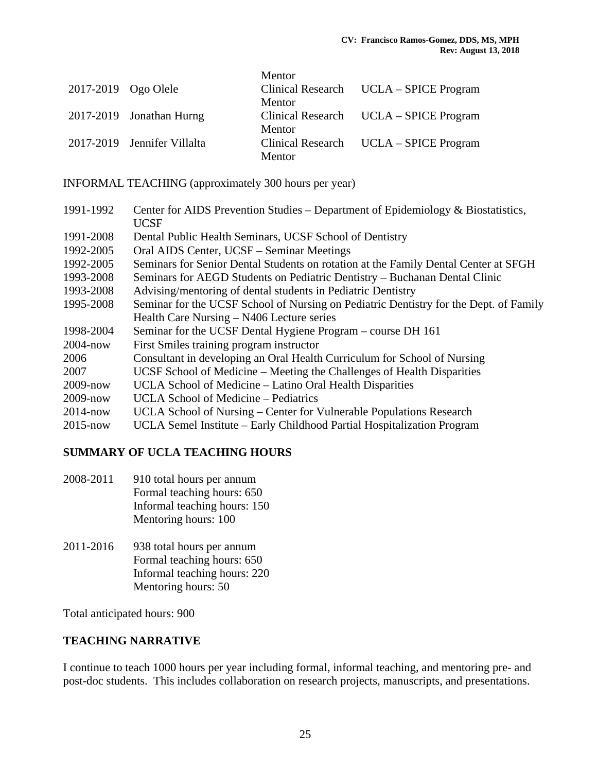|                     |                             | Mentor |                                        |
|---------------------|-----------------------------|--------|----------------------------------------|
| 2017-2019 Ogo Olele |                             |        | Clinical Research UCLA – SPICE Program |
|                     |                             | Mentor |                                        |
|                     | 2017-2019 Jonathan Hurng    |        | Clinical Research UCLA – SPICE Program |
|                     |                             | Mentor |                                        |
|                     | 2017-2019 Jennifer Villalta |        | Clinical Research UCLA – SPICE Program |
|                     |                             | Mentor |                                        |

INFORMAL TEACHING (approximately 300 hours per year)

| 1991-1992    | Center for AIDS Prevention Studies – Department of Epidemiology & Biostatistics,      |
|--------------|---------------------------------------------------------------------------------------|
|              | <b>UCSF</b>                                                                           |
| 1991-2008    | Dental Public Health Seminars, UCSF School of Dentistry                               |
| 1992-2005    | Oral AIDS Center, UCSF – Seminar Meetings                                             |
| 1992-2005    | Seminars for Senior Dental Students on rotation at the Family Dental Center at SFGH   |
| 1993-2008    | Seminars for AEGD Students on Pediatric Dentistry – Buchanan Dental Clinic            |
| 1993-2008    | Advising/mentoring of dental students in Pediatric Dentistry                          |
| 1995-2008    | Seminar for the UCSF School of Nursing on Pediatric Dentistry for the Dept. of Family |
|              | Health Care Nursing – N406 Lecture series                                             |
| 1998-2004    | Seminar for the UCSF Dental Hygiene Program – course DH 161                           |
| $2004 - now$ | First Smiles training program instructor                                              |
| 2006         | Consultant in developing an Oral Health Curriculum for School of Nursing              |
| 2007         | UCSF School of Medicine – Meeting the Challenges of Health Disparities                |
| $2009 - now$ | UCLA School of Medicine – Latino Oral Health Disparities                              |
| $2009 - now$ | UCLA School of Medicine – Pediatrics                                                  |
| $2014 - now$ | UCLA School of Nursing – Center for Vulnerable Populations Research                   |
| $2015 - now$ | UCLA Semel Institute – Early Childhood Partial Hospitalization Program                |

### **SUMMARY OF UCLA TEACHING HOURS**

- 2008-2011 910 total hours per annum Formal teaching hours: 650 Informal teaching hours: 150 Mentoring hours: 100
- 2011-2016 938 total hours per annum Formal teaching hours: 650 Informal teaching hours: 220 Mentoring hours: 50

Total anticipated hours: 900

### **TEACHING NARRATIVE**

I continue to teach 1000 hours per year including formal, informal teaching, and mentoring pre- and post-doc students. This includes collaboration on research projects, manuscripts, and presentations.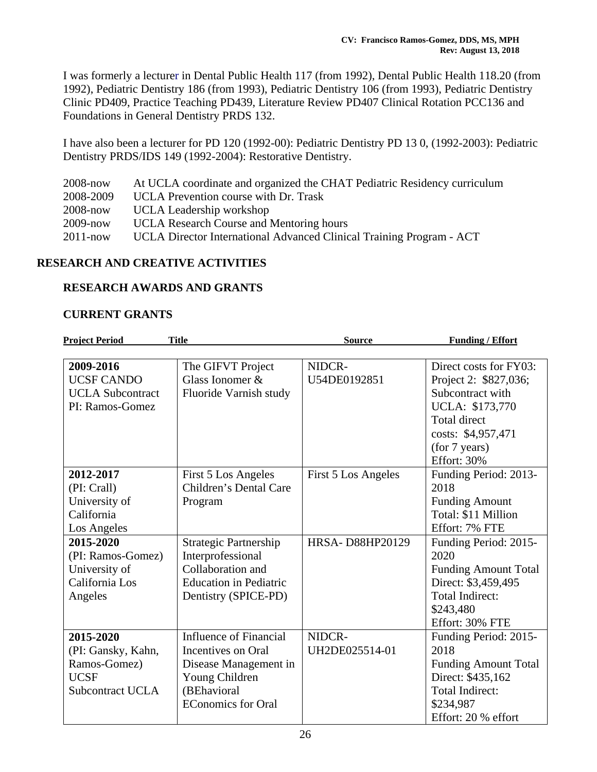I was formerly a lecturer in Dental Public Health 117 (from 1992), Dental Public Health 118.20 (from 1992), Pediatric Dentistry 186 (from 1993), Pediatric Dentistry 106 (from 1993), Pediatric Dentistry Clinic PD409, Practice Teaching PD439, Literature Review PD407 Clinical Rotation PCC136 and Foundations in General Dentistry PRDS 132.

I have also been a lecturer for PD 120 (1992-00): Pediatric Dentistry PD 13 0, (1992-2003): Pediatric Dentistry PRDS/IDS 149 (1992-2004): Restorative Dentistry.

| $2008 - now$ | At UCLA coordinate and organized the CHAT Pediatric Residency curriculum |
|--------------|--------------------------------------------------------------------------|
| 2008-2009    | UCLA Prevention course with Dr. Trask                                    |
| $2008 - now$ | UCLA Leadership workshop                                                 |
| $2009 - now$ | <b>UCLA</b> Research Course and Mentoring hours                          |
| $2011 - now$ | UCLA Director International Advanced Clinical Training Program - ACT     |

### **RESEARCH AND CREATIVE ACTIVITIES**

### **RESEARCH AWARDS AND GRANTS**

#### **CURRENT GRANTS**

| <b>Project Period</b>   | <b>Title</b>                  | <b>Source</b>       | <b>Funding / Effort</b>     |
|-------------------------|-------------------------------|---------------------|-----------------------------|
|                         |                               |                     |                             |
| 2009-2016               | The GIFVT Project             | NIDCR-              | Direct costs for FY03:      |
| <b>UCSF CANDO</b>       | Glass Ionomer $&$             | U54DE0192851        | Project 2: \$827,036;       |
| <b>UCLA</b> Subcontract | Fluoride Varnish study        |                     | Subcontract with            |
| PI: Ramos-Gomez         |                               |                     | UCLA: \$173,770             |
|                         |                               |                     | <b>Total direct</b>         |
|                         |                               |                     | costs: \$4,957,471          |
|                         |                               |                     | (for 7 years)               |
|                         |                               |                     | Effort: 30%                 |
| 2012-2017               | First 5 Los Angeles           | First 5 Los Angeles | Funding Period: 2013-       |
| (PI: Crall)             | Children's Dental Care        |                     | 2018                        |
| University of           | Program                       |                     | <b>Funding Amount</b>       |
| California              |                               |                     | Total: \$11 Million         |
| Los Angeles             |                               |                     | Effort: 7% FTE              |
| 2015-2020               | <b>Strategic Partnership</b>  | HRSA-D88HP20129     | Funding Period: 2015-       |
| (PI: Ramos-Gomez)       | Interprofessional             |                     | 2020                        |
| University of           | Collaboration and             |                     | <b>Funding Amount Total</b> |
| California Los          | <b>Education</b> in Pediatric |                     | Direct: \$3,459,495         |
| Angeles                 | Dentistry (SPICE-PD)          |                     | Total Indirect:             |
|                         |                               |                     | \$243,480                   |
|                         |                               |                     | Effort: 30% FTE             |
| 2015-2020               | Influence of Financial        | NIDCR-              | Funding Period: 2015-       |
| (PI: Gansky, Kahn,      | Incentives on Oral            | UH2DE025514-01      | 2018                        |
| Ramos-Gomez)            | Disease Management in         |                     | <b>Funding Amount Total</b> |
| <b>UCSF</b>             | Young Children                |                     | Direct: \$435,162           |
| <b>Subcontract UCLA</b> | (BEhavioral                   |                     | Total Indirect:             |
|                         | <b>EConomics for Oral</b>     |                     | \$234,987                   |
|                         |                               |                     | Effort: 20 % effort         |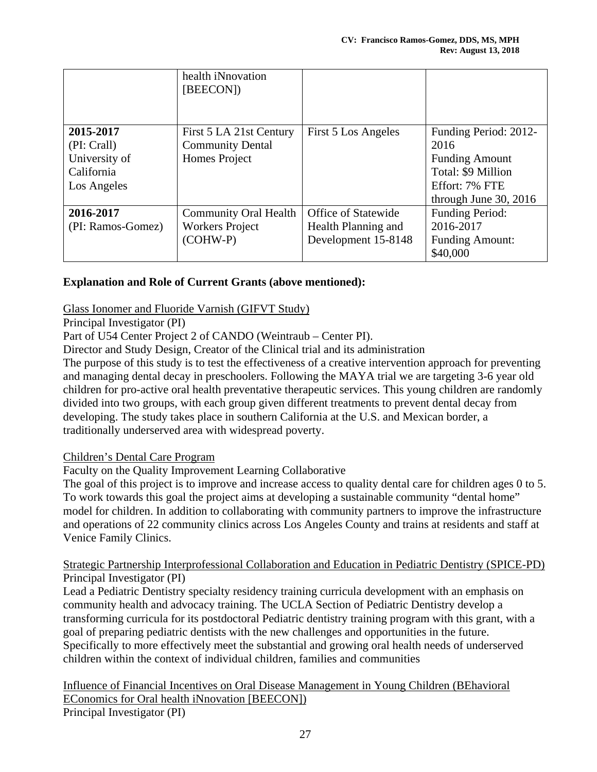|                   | health iNnovation<br>[BEECON]) |                            |                         |
|-------------------|--------------------------------|----------------------------|-------------------------|
|                   |                                |                            |                         |
| 2015-2017         | First 5 LA 21st Century        | First 5 Los Angeles        | Funding Period: 2012-   |
| (PI: Crall)       | <b>Community Dental</b>        |                            | 2016                    |
| University of     | Homes Project                  |                            | <b>Funding Amount</b>   |
| California        |                                |                            | Total: \$9 Million      |
| Los Angeles       |                                |                            | Effort: 7% FTE          |
|                   |                                |                            | through June $30, 2016$ |
| 2016-2017         | <b>Community Oral Health</b>   | <b>Office of Statewide</b> | Funding Period:         |
| (PI: Ramos-Gomez) | <b>Workers Project</b>         | Health Planning and        | 2016-2017               |
|                   | (COHW-P)                       | Development 15-8148        | <b>Funding Amount:</b>  |
|                   |                                |                            | \$40,000                |

### **Explanation and Role of Current Grants (above mentioned):**

#### Glass Ionomer and Fluoride Varnish (GIFVT Study)

Principal Investigator (PI)

Part of U54 Center Project 2 of CANDO (Weintraub – Center PI).

Director and Study Design, Creator of the Clinical trial and its administration

The purpose of this study is to test the effectiveness of a creative intervention approach for preventing and managing dental decay in preschoolers. Following the MAYA trial we are targeting 3-6 year old children for pro-active oral health preventative therapeutic services. This young children are randomly divided into two groups, with each group given different treatments to prevent dental decay from developing. The study takes place in southern California at the U.S. and Mexican border, a traditionally underserved area with widespread poverty.

#### Children's Dental Care Program

Faculty on the Quality Improvement Learning Collaborative

The goal of this project is to improve and increase access to quality dental care for children ages 0 to 5. To work towards this goal the project aims at developing a sustainable community "dental home" model for children. In addition to collaborating with community partners to improve the infrastructure and operations of 22 community clinics across Los Angeles County and trains at residents and staff at Venice Family Clinics.

### Strategic Partnership Interprofessional Collaboration and Education in Pediatric Dentistry (SPICE-PD) Principal Investigator (PI)

Lead a Pediatric Dentistry specialty residency training curricula development with an emphasis on community health and advocacy training. The UCLA Section of Pediatric Dentistry develop a transforming curricula for its postdoctoral Pediatric dentistry training program with this grant, with a goal of preparing pediatric dentists with the new challenges and opportunities in the future. Specifically to more effectively meet the substantial and growing oral health needs of underserved children within the context of individual children, families and communities

Influence of Financial Incentives on Oral Disease Management in Young Children (BEhavioral EConomics for Oral health iNnovation [BEECON]) Principal Investigator (PI)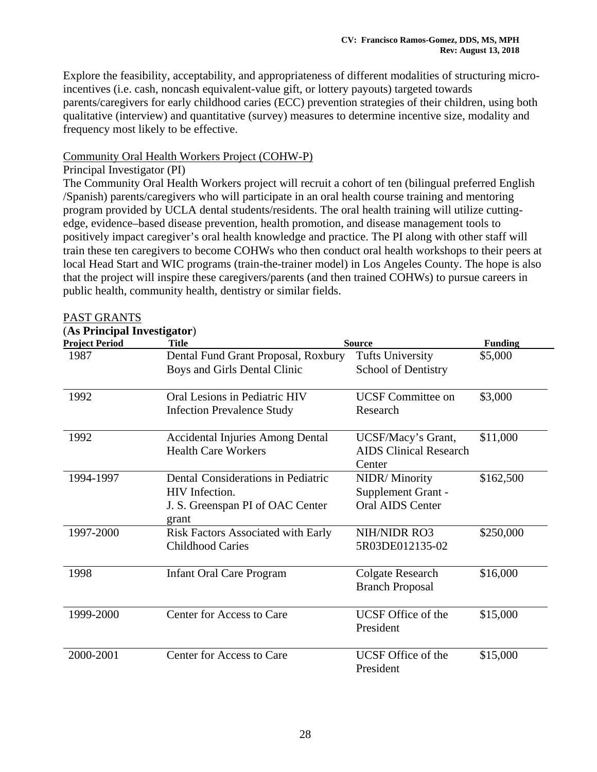Explore the feasibility, acceptability, and appropriateness of different modalities of structuring microincentives (i.e. cash, noncash equivalent-value gift, or lottery payouts) targeted towards parents/caregivers for early childhood caries (ECC) prevention strategies of their children, using both qualitative (interview) and quantitative (survey) measures to determine incentive size, modality and frequency most likely to be effective.

#### Community Oral Health Workers Project (COHW-P)

28

Principal Investigator (PI)

The Community Oral Health Workers project will recruit a cohort of ten (bilingual preferred English /Spanish) parents/caregivers who will participate in an oral health course training and mentoring program provided by UCLA dental students/residents. The oral health training will utilize cuttingedge, evidence–based disease prevention, health promotion, and disease management tools to positively impact caregiver's oral health knowledge and practice. The PI along with other staff will train these ten caregivers to become COHWs who then conduct oral health workshops to their peers at local Head Start and WIC programs (train-the-trainer model) in Los Angeles County. The hope is also that the project will inspire these caregivers/parents (and then trained COHWs) to pursue careers in public health, community health, dentistry or similar fields.

| <b>Project Period</b> | <b>Title</b>                                                                                             | <b>Source</b>                                                  | <b>Funding</b> |
|-----------------------|----------------------------------------------------------------------------------------------------------|----------------------------------------------------------------|----------------|
| 1987                  | Dental Fund Grant Proposal, Roxbury<br>Boys and Girls Dental Clinic                                      | <b>Tufts University</b><br><b>School of Dentistry</b>          | \$5,000        |
| 1992                  | Oral Lesions in Pediatric HIV<br><b>Infection Prevalence Study</b>                                       | <b>UCSF Committee on</b><br>Research                           | \$3,000        |
| 1992                  | <b>Accidental Injuries Among Dental</b><br><b>Health Care Workers</b>                                    | UCSF/Macy's Grant,<br><b>AIDS Clinical Research</b><br>Center  | \$11,000       |
| 1994-1997             | Dental Considerations in Pediatric<br><b>HIV</b> Infection.<br>J. S. Greenspan PI of OAC Center<br>grant | NIDR/Minority<br>Supplement Grant -<br><b>Oral AIDS Center</b> | \$162,500      |
| 1997-2000             | <b>Risk Factors Associated with Early</b><br><b>Childhood Caries</b>                                     | NIH/NIDR RO3<br>5R03DE012135-02                                | \$250,000      |
| 1998                  | <b>Infant Oral Care Program</b>                                                                          | Colgate Research<br><b>Branch Proposal</b>                     | \$16,000       |
| 1999-2000             | Center for Access to Care                                                                                | UCSF Office of the<br>President                                | \$15,000       |
| 2000-2001             | Center for Access to Care                                                                                | UCSF Office of the<br>President                                | \$15,000       |

#### PAST GRANTS (**As Principal Investigator**)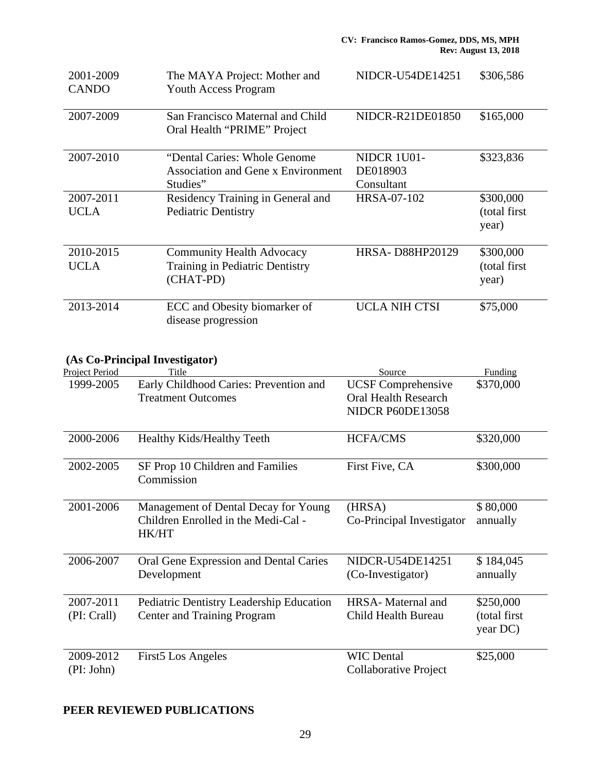| 2001-2009<br><b>CANDO</b> | The MAYA Project: Mother and<br><b>Youth Access Program</b>                            | NIDCR-U54DE14251                      | \$306,586                           |
|---------------------------|----------------------------------------------------------------------------------------|---------------------------------------|-------------------------------------|
| 2007-2009                 | San Francisco Maternal and Child<br>Oral Health "PRIME" Project                        | NIDCR-R21DE01850                      | \$165,000                           |
| 2007-2010                 | "Dental Caries: Whole Genome"<br><b>Association and Gene x Environment</b><br>Studies" | NIDCR 1U01-<br>DE018903<br>Consultant | \$323,836                           |
| 2007-2011<br><b>UCLA</b>  | Residency Training in General and<br><b>Pediatric Dentistry</b>                        | HRSA-07-102                           | \$300,000<br>(total first)<br>year) |
| 2010-2015<br><b>UCLA</b>  | <b>Community Health Advocacy</b><br>Training in Pediatric Dentistry<br>(CHAT-PD)       | <b>HRSA-D88HP20129</b>                | \$300,000<br>(total first)<br>year) |
| 2013-2014                 | ECC and Obesity biomarker of<br>disease progression                                    | <b>UCLA NIH CTSI</b>                  | \$75,000                            |

### **(As Co-Principal Investigator)**

| Project Period | Title                                                                       | Source                                                   | Funding              |
|----------------|-----------------------------------------------------------------------------|----------------------------------------------------------|----------------------|
| 1999-2005      | Early Childhood Caries: Prevention and<br><b>Treatment Outcomes</b>         | <b>UCSF</b> Comprehensive<br><b>Oral Health Research</b> | \$370,000            |
|                |                                                                             | <b>NIDCR P60DE13058</b>                                  |                      |
| 2000-2006      | Healthy Kids/Healthy Teeth                                                  | <b>HCFA/CMS</b>                                          | \$320,000            |
| 2002-2005      | SF Prop 10 Children and Families<br>Commission                              | First Five, CA                                           | \$300,000            |
| 2001-2006      | Management of Dental Decay for Young<br>Children Enrolled in the Medi-Cal - | (HRSA)<br>Co-Principal Investigator                      | \$80,000<br>annually |
|                | <b>HK/HT</b>                                                                |                                                          |                      |
| 2006-2007      | Oral Gene Expression and Dental Caries                                      | NIDCR-U54DE14251                                         | \$184,045            |
|                | Development                                                                 | (Co-Investigator)                                        | annually             |
| 2007-2011      | <b>Pediatric Dentistry Leadership Education</b>                             | HRSA-Maternal and                                        | \$250,000            |
| (PI: Crall)    | <b>Center and Training Program</b>                                          | Child Health Bureau                                      | (total first         |
|                |                                                                             |                                                          | year DC)             |
| 2009-2012      | <b>First5</b> Los Angeles                                                   | <b>WIC Dental</b>                                        | \$25,000             |
| (PI: John)     |                                                                             | Collaborative Project                                    |                      |

# **PEER REVIEWED PUBLICATIONS**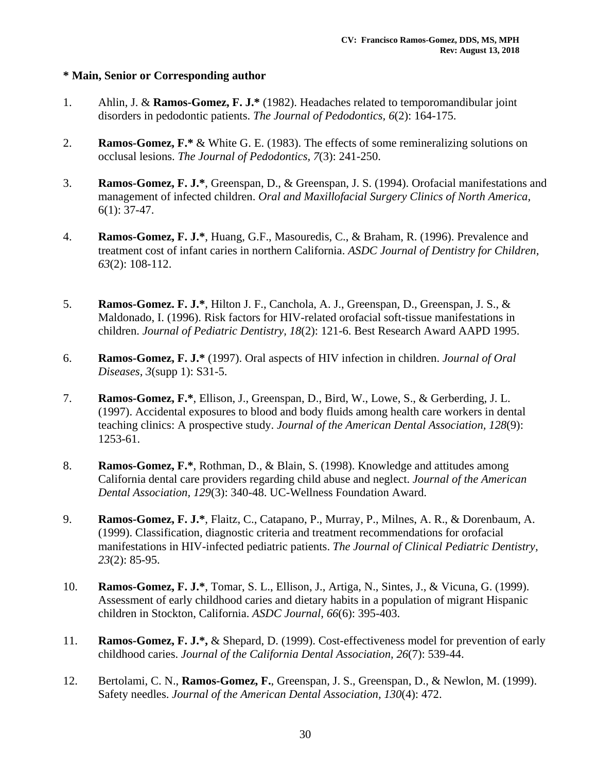### **\* Main, Senior or Corresponding author**

- 1. Ahlin, J. & **Ramos-Gomez, F. J.\*** (1982). Headaches related to temporomandibular joint disorders in pedodontic patients. *The Journal of Pedodontics, 6*(2): 164-175.
- 2. **Ramos-Gomez, F.\*** & White G. E. (1983). The effects of some remineralizing solutions on occlusal lesions. *The Journal of Pedodontics, 7*(3): 241-250.
- 3. **Ramos-Gomez, F. J.\***, Greenspan, D., & Greenspan, J. S. (1994). Orofacial manifestations and management of infected children. *Oral and Maxillofacial Surgery Clinics of North America,*  6(1): 37-47.
- 4. **Ramos-Gomez, F. J.\***, Huang, G.F., Masouredis, C., & Braham, R. (1996). Prevalence and treatment cost of infant caries in northern California. *ASDC Journal of Dentistry for Children, 63*(2): 108-112.
- 5. **Ramos-Gomez. F. J.\***, Hilton J. F., Canchola, A. J., Greenspan, D., Greenspan, J. S., & Maldonado, I. (1996). Risk factors for HIV-related orofacial soft-tissue manifestations in children. *Journal of Pediatric Dentistry, 18*(2): 121-6. Best Research Award AAPD 1995.
- 6. **Ramos-Gomez, F. J.\*** (1997). Oral aspects of HIV infection in children. *Journal of Oral Diseases, 3*(supp 1): S31-5.
- 7. **Ramos-Gomez, F.\***, Ellison, J., Greenspan, D., Bird, W., Lowe, S., & Gerberding, J. L. (1997). Accidental exposures to blood and body fluids among health care workers in dental teaching clinics: A prospective study. *Journal of the American Dental Association, 128*(9): 1253-61.
- 8. **Ramos-Gomez, F.\***, Rothman, D., & Blain, S. (1998). Knowledge and attitudes among California dental care providers regarding child abuse and neglect. *Journal of the American Dental Association, 129*(3): 340-48. UC-Wellness Foundation Award.
- 9. **Ramos-Gomez, F. J.\***, Flaitz, C., Catapano, P., Murray, P., Milnes, A. R., & Dorenbaum, A. (1999). Classification, diagnostic criteria and treatment recommendations for orofacial manifestations in HIV-infected pediatric patients. *The Journal of Clinical Pediatric Dentistry, 23*(2): 85-95.
- 10. **Ramos-Gomez, F. J.\***, Tomar, S. L., Ellison, J., Artiga, N., Sintes, J., & Vicuna, G. (1999). Assessment of early childhood caries and dietary habits in a population of migrant Hispanic children in Stockton, California. *ASDC Journal, 66*(6): 395-403.
- 11. **Ramos-Gomez, F. J.\*,** & Shepard, D. (1999). Cost-effectiveness model for prevention of early childhood caries. *Journal of the California Dental Association, 26*(7): 539-44.
- 12. Bertolami, C. N., **Ramos-Gomez, F.**, Greenspan, J. S., Greenspan, D., & Newlon, M. (1999). Safety needles. *Journal of the American Dental Association, 130*(4): 472.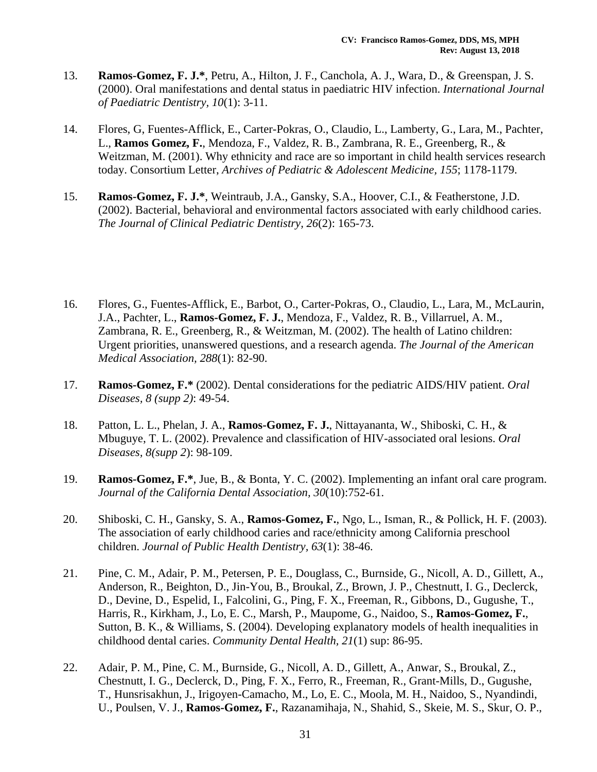- 13. **Ramos-Gomez, F. J.\***, Petru, A., Hilton, J. F., Canchola, A. J., Wara, D., & Greenspan, J. S. (2000). Oral manifestations and dental status in paediatric HIV infection. *International Journal of Paediatric Dentistry, 10*(1): 3-11.
- 14. Flores, G, Fuentes-Afflick, E., Carter-Pokras, O., Claudio, L., Lamberty, G., Lara, M., Pachter, L., **Ramos Gomez, F.**, Mendoza, F., Valdez, R. B., Zambrana, R. E., Greenberg, R., & Weitzman, M. (2001). Why ethnicity and race are so important in child health services research today. Consortium Letter, *Archives of Pediatric & Adolescent Medicine, 155*; 1178-1179.
- 15. **Ramos-Gomez, F. J.\***, Weintraub, J.A., Gansky, S.A., Hoover, C.I., & Featherstone, J.D. (2002). Bacterial, behavioral and environmental factors associated with early childhood caries. *The Journal of Clinical Pediatric Dentistry, 26*(2): 165-73.
- 16. Flores, G., Fuentes-Afflick, E., Barbot, O., Carter-Pokras, O., Claudio, L., Lara, M., McLaurin, J.A., Pachter, L., **Ramos-Gomez, F. J.**, Mendoza, F., Valdez, R. B., Villarruel, A. M., Zambrana, R. E., Greenberg, R., & Weitzman, M. (2002). The health of Latino children: Urgent priorities, unanswered questions, and a research agenda. *The Journal of the American Medical Association, 288*(1): 82-90.
- 17. **Ramos-Gomez, F.\*** (2002). Dental considerations for the pediatric AIDS/HIV patient. *Oral Diseases, 8 (supp 2)*: 49-54.
- 18. Patton, L. L., Phelan, J. A., **Ramos-Gomez, F. J.**, Nittayananta, W., Shiboski, C. H., & Mbuguye, T. L. (2002). Prevalence and classification of HIV-associated oral lesions. *Oral Diseases, 8(supp 2*): 98-109.
- 19. **Ramos-Gomez, F.\***, Jue, B., & Bonta, Y. C. (2002). Implementing an infant oral care program. *Journal of the California Dental Association, 30*(10):752-61.
- 20. Shiboski, C. H., Gansky, S. A., **Ramos-Gomez, F.**, Ngo, L., Isman, R., & Pollick, H. F. (2003). The association of early childhood caries and race/ethnicity among California preschool children. *Journal of Public Health Dentistry, 63*(1): 38-46.
- 21. Pine, C. M., Adair, P. M., Petersen, P. E., Douglass, C., Burnside, G., Nicoll, A. D., Gillett, A., Anderson, R., Beighton, D., Jin-You, B., Broukal, Z., Brown, J. P., Chestnutt, I. G., Declerck, D., Devine, D., Espelid, I., Falcolini, G., Ping, F. X., Freeman, R., Gibbons, D., Gugushe, T., Harris, R., Kirkham, J., Lo, E. C., Marsh, P., Maupome, G., Naidoo, S., **Ramos-Gomez, F.**, Sutton, B. K., & Williams, S. (2004). Developing explanatory models of health inequalities in childhood dental caries. *Community Dental Health, 21*(1) sup: 86-95.
- 22. Adair, P. M., Pine, C. M., Burnside, G., Nicoll, A. D., Gillett, A., Anwar, S., Broukal, Z., Chestnutt, I. G., Declerck, D., Ping, F. X., Ferro, R., Freeman, R., Grant-Mills, D., Gugushe, T., Hunsrisakhun, J., Irigoyen-Camacho, M., Lo, E. C., Moola, M. H., Naidoo, S., Nyandindi, U., Poulsen, V. J., **Ramos-Gomez, F.**, Razanamihaja, N., Shahid, S., Skeie, M. S., Skur, O. P.,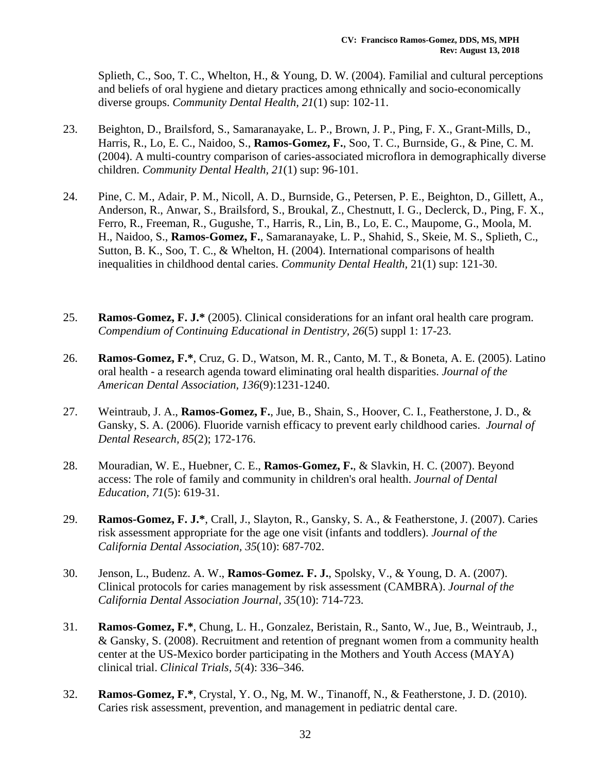Splieth, C., Soo, T. C., Whelton, H., & Young, D. W. (2004). Familial and cultural perceptions and beliefs of oral hygiene and dietary practices among ethnically and socio-economically diverse groups. *Community Dental Health, 21*(1) sup: 102-11.

- 23. Beighton, D., Brailsford, S., Samaranayake, L. P., Brown, J. P., Ping, F. X., Grant-Mills, D., Harris, R., Lo, E. C., Naidoo, S., **Ramos-Gomez, F.**, Soo, T. C., Burnside, G., & Pine, C. M. (2004). A multi-country comparison of caries-associated microflora in demographically diverse children. *Community Dental Health, 21*(1) sup: 96-101.
- 24. Pine, C. M., Adair, P. M., Nicoll, A. D., Burnside, G., Petersen, P. E., Beighton, D., Gillett, A., Anderson, R., Anwar, S., Brailsford, S., Broukal, Z., Chestnutt, I. G., Declerck, D., Ping, F. X., Ferro, R., Freeman, R., Gugushe, T., Harris, R., Lin, B., Lo, E. C., Maupome, G., Moola, M. H., Naidoo, S., **Ramos-Gomez, F.**, Samaranayake, L. P., Shahid, S., Skeie, M. S., Splieth, C., Sutton, B. K., Soo, T. C., & Whelton, H. (2004). International comparisons of health inequalities in childhood dental caries. *Community Dental Health,* 21(1) sup: 121-30.
- 25. **Ramos-Gomez, F. J.\*** (2005). Clinical considerations for an infant oral health care program. *Compendium of Continuing Educational in Dentistry, 26*(5) suppl 1: 17-23.
- 26. **Ramos-Gomez, F.\***, Cruz, G. D., Watson, M. R., Canto, M. T., & Boneta, A. E. (2005). Latino oral health - a research agenda toward eliminating oral health disparities. *Journal of the American Dental Association, 136*(9):1231-1240.
- 27. Weintraub, J. A., **Ramos-Gomez, F.**, Jue, B., Shain, S., Hoover, C. I., Featherstone, J. D., & Gansky, S. A. (2006). Fluoride varnish efficacy to prevent early childhood caries. *Journal of Dental Research, 85*(2); 172-176.
- 28. Mouradian, W. E., Huebner, C. E., **Ramos-Gomez, F.**, & Slavkin, H. C. (2007). Beyond access: The role of family and community in children's oral health. *Journal of Dental Education, 71*(5): 619-31.
- 29. **Ramos-Gomez, F. J.\***, Crall, J., Slayton, R., Gansky, S. A., & Featherstone, J. (2007). Caries risk assessment appropriate for the age one visit (infants and toddlers). *Journal of the California Dental Association, 35*(10): 687-702.
- 30. Jenson, L., Budenz. A. W., **Ramos-Gomez. F. J.**, Spolsky, V., & Young, D. A. (2007). Clinical protocols for caries management by risk assessment (CAMBRA). *Journal of the California Dental Association Journal, 35*(10): 714-723.
- 31. **Ramos-Gomez, F.\***, Chung, L. H., Gonzalez, Beristain, R., Santo, W., Jue, B., Weintraub, J., & Gansky, S. (2008). Recruitment and retention of pregnant women from a community health center at the US-Mexico border participating in the Mothers and Youth Access (MAYA) clinical trial. *Clinical Trials, 5*(4): 336–346.
- 32. **Ramos-Gomez, F.\***, Crystal, Y. O., Ng, M. W., Tinanoff, N., & Featherstone, J. D. (2010). Caries risk assessment, prevention, and management in pediatric dental care.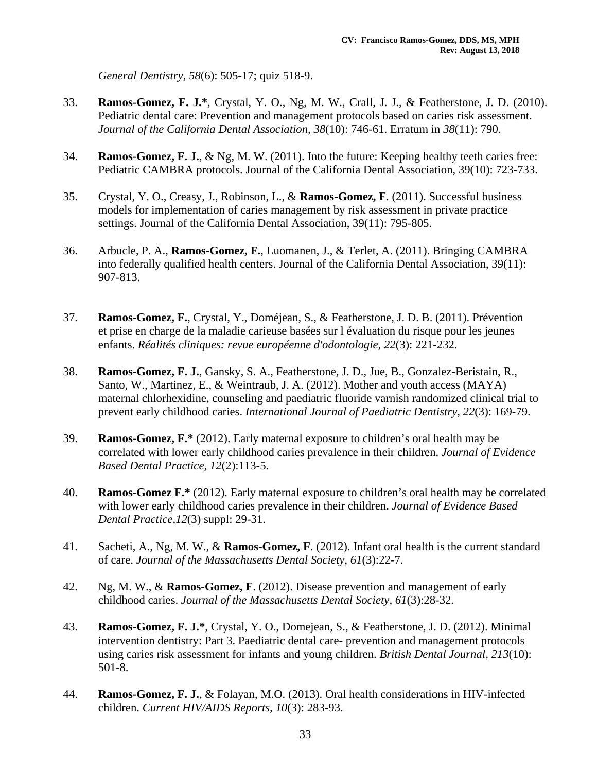*General Dentistry, 58*(6): 505-17; quiz 518-9.

- 33. **Ramos-Gomez, F. J.\***, Crystal, Y. O., Ng, M. W., Crall, J. J., & Featherstone, J. D. (2010). Pediatric dental care: Prevention and management protocols based on caries risk assessment. *Journal of the California Dental Association, 38*(10): 746-61. Erratum in *38*(11): 790.
- 34. **Ramos-Gomez, F. J.**, & Ng, M. W. (2011). Into the future: Keeping healthy teeth caries free: Pediatric CAMBRA protocols. Journal of the California Dental Association, 39(10): 723-733.
- 35. Crystal, Y. O., Creasy, J., Robinson, L., & **Ramos-Gomez, F**. (2011). Successful business models for implementation of caries management by risk assessment in private practice settings. Journal of the California Dental Association, 39(11): 795-805.
- 36. Arbucle, P. A., **Ramos-Gomez, F.**, Luomanen, J., & Terlet, A. (2011). Bringing CAMBRA into federally qualified health centers. Journal of the California Dental Association, 39(11): 907-813.
- 37. **Ramos-Gomez, F.**, Crystal, Y., Doméjean, S., & Featherstone, J. D. B. (2011). Prévention et prise en charge de la maladie carieuse basées sur l évaluation du risque pour les jeunes enfants. *Réalités cliniques: revue européenne d'odontologie, 22*(3): 221-232.
- 38. **Ramos-Gomez, F. J.**, Gansky, S. A., Featherstone, J. D., Jue, B., Gonzalez-Beristain, R., Santo, W., Martinez, E., & Weintraub, J. A. (2012). Mother and youth access (MAYA) maternal chlorhexidine, counseling and paediatric fluoride varnish randomized clinical trial to prevent early childhood caries. *International Journal of Paediatric Dentistry, 22*(3): 169-79.
- 39. **Ramos-Gomez, F.\*** (2012). Early maternal exposure to children's oral health may be correlated with lower early childhood caries prevalence in their children. *Journal of Evidence Based Dental Practice, 12*(2):113-5.
- 40. **Ramos-Gomez F.\*** (2012). Early maternal exposure to children's oral health may be correlated with lower early childhood caries prevalence in their children. *Journal of Evidence Based Dental Practice,12*(3) suppl: 29-31.
- 41. Sacheti, A., Ng, M. W., & **Ramos-Gomez, F**. (2012). Infant oral health is the current standard of care. *Journal of the Massachusetts Dental Society, 61*(3):22-7.
- 42. Ng, M. W., & **Ramos-Gomez, F**. (2012). Disease prevention and management of early childhood caries. *Journal of the Massachusetts Dental Society, 61*(3):28-32.
- 43. **Ramos-Gomez, F. J.\***, Crystal, Y. O., Domejean, S., & Featherstone, J. D. (2012). Minimal intervention dentistry: Part 3. Paediatric dental care- prevention and management protocols using caries risk assessment for infants and young children. *British Dental Journal, 213*(10): 501-8.
- 44. **Ramos-Gomez, F. J.**, & Folayan, M.O. (2013). Oral health considerations in HIV-infected children. *Current HIV/AIDS Reports, 10*(3): 283-93.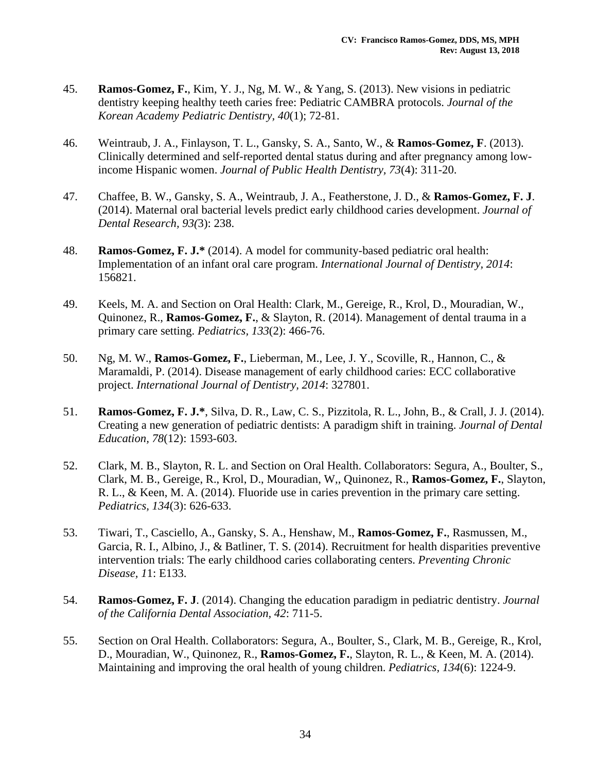- 45. **Ramos-Gomez, F.**, Kim, Y. J., Ng, M. W., & Yang, S. (2013). New visions in pediatric dentistry keeping healthy teeth caries free: Pediatric CAMBRA protocols. *Journal of the Korean Academy Pediatric Dentistry, 40*(1); 72-81.
- 46. Weintraub, J. A., Finlayson, T. L., Gansky, S. A., Santo, W., & **Ramos-Gomez, F**. (2013). Clinically determined and self-reported dental status during and after pregnancy among lowincome Hispanic women. *Journal of Public Health Dentistry, 73*(4): 311-20.
- 47. Chaffee, B. W., Gansky, S. A., Weintraub, J. A., Featherstone, J. D., & **Ramos-Gomez, F. J**. (2014). Maternal oral bacterial levels predict early childhood caries development. *Journal of Dental Research, 93(*3): 238.
- 48. **Ramos-Gomez, F. J.\*** (2014). A model for community-based pediatric oral health: Implementation of an infant oral care program. *International Journal of Dentistry, 2014*: 156821.
- 49. Keels, M. A. and Section on Oral Health: Clark, M., Gereige, R., Krol, D., Mouradian, W., Quinonez, R., **Ramos-Gomez, F.**, & Slayton, R. (2014). Management of dental trauma in a primary care setting. *Pediatrics, 133*(2): 466-76.
- 50. Ng, M. W., **Ramos-Gomez, F.**, Lieberman, M., Lee, J. Y., Scoville, R., Hannon, C., & Maramaldi, P. (2014). Disease management of early childhood caries: ECC collaborative project. *International Journal of Dentistry, 2014*: 327801.
- 51. **Ramos-Gomez, F. J.\***, Silva, D. R., Law, C. S., Pizzitola, R. L., John, B., & Crall, J. J. (2014). Creating a new generation of pediatric dentists: A paradigm shift in training. *Journal of Dental Education, 78*(12): 1593-603.
- 52. Clark, M. B., Slayton, R. L. and Section on Oral Health. Collaborators: Segura, A., Boulter, S., Clark, M. B., Gereige, R., Krol, D., Mouradian, W,, Quinonez, R., **Ramos-Gomez, F.**, Slayton, R. L., & Keen, M. A. (2014). Fluoride use in caries prevention in the primary care setting. *Pediatrics, 134*(3): 626-633.
- 53. Tiwari, T., Casciello, A., Gansky, S. A., Henshaw, M., **Ramos-Gomez, F.**, Rasmussen, M., Garcia, R. I., Albino, J., & Batliner, T. S. (2014). Recruitment for health disparities preventive intervention trials: The early childhood caries collaborating centers. *Preventing Chronic Disease, 1*1: E133.
- 54. **Ramos-Gomez, F. J**. (2014). Changing the education paradigm in pediatric dentistry. *Journal of the California Dental Association, 42*: 711-5.
- 55. Section on Oral Health. Collaborators: Segura, A., Boulter, S., Clark, M. B., Gereige, R., Krol, D., Mouradian, W., Quinonez, R., **Ramos-Gomez, F.**, Slayton, R. L., & Keen, M. A. (2014). Maintaining and improving the oral health of young children. *Pediatrics, 134*(6): 1224-9.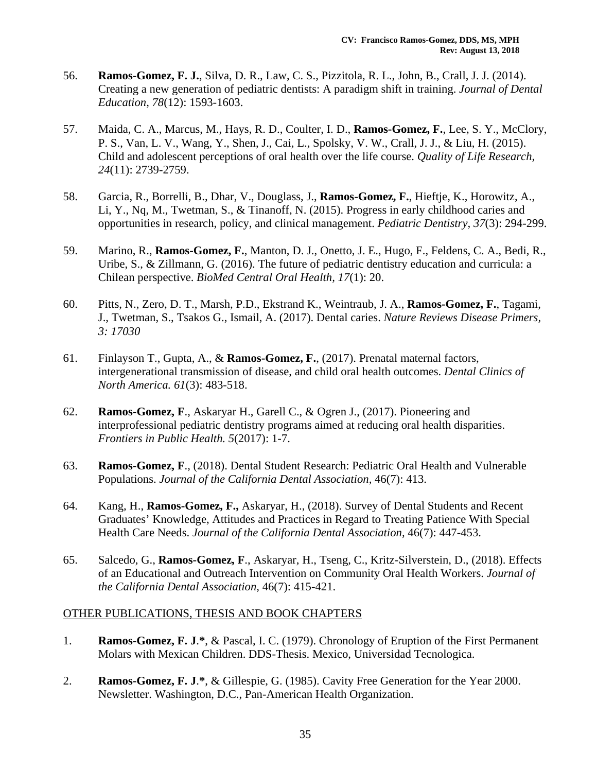- 56. **Ramos-Gomez, F. J.**, Silva, D. R., Law, C. S., Pizzitola, R. L., John, B., Crall, J. J. (2014). Creating a new generation of pediatric dentists: A paradigm shift in training. *Journal of Dental Education, 78*(12): 1593-1603.
- 57. Maida, C. A., Marcus, M., Hays, R. D., Coulter, I. D., **Ramos-Gomez, F.**, Lee, S. Y., McClory, P. S., Van, L. V., Wang, Y., Shen, J., Cai, L., Spolsky, V. W., Crall, J. J., & Liu, H. (2015). Child and adolescent perceptions of oral health over the life course. *Quality of Life Research, 24*(11): 2739-2759.
- 58. Garcia, R., Borrelli, B., Dhar, V., Douglass, J., **Ramos-Gomez, F.**, Hieftje, K., Horowitz, A., Li, Y., Nq, M., Twetman, S., & Tinanoff, N. (2015). Progress in early childhood caries and opportunities in research, policy, and clinical management. *Pediatric Dentistry, 37*(3): 294-299.
- 59. Marino, R., **Ramos-Gomez, F.**, Manton, D. J., Onetto, J. E., Hugo, F., Feldens, C. A., Bedi, R., Uribe, S., & Zillmann, G. (2016). The future of pediatric dentistry education and curricula: a Chilean perspective. *BioMed Central Oral Health, 17*(1): 20.
- 60. Pitts, N., Zero, D. T., Marsh, P.D., Ekstrand K., Weintraub, J. A., **Ramos-Gomez, F.**, Tagami, J., Twetman, S., Tsakos G., Ismail, A. (2017). Dental caries. *Nature Reviews Disease Primers, 3: 17030*
- 61. Finlayson T., Gupta, A., & **Ramos-Gomez, F.**, (2017). Prenatal maternal factors, intergenerational transmission of disease, and child oral health outcomes. *Dental Clinics of North America. 61*(3): 483-518.
- 62. **Ramos-Gomez, F**., Askaryar H., Garell C., & Ogren J., (2017). Pioneering and interprofessional pediatric dentistry programs aimed at reducing oral health disparities. *Frontiers in Public Health. 5*(2017): 1-7.
- 63. **Ramos-Gomez, F**., (2018). Dental Student Research: Pediatric Oral Health and Vulnerable Populations. *Journal of the California Dental Association,* 46(7): 413.
- 64. Kang, H., **Ramos-Gomez, F.,** Askaryar, H., (2018). Survey of Dental Students and Recent Graduates' Knowledge, Attitudes and Practices in Regard to Treating Patience With Special Health Care Needs. *Journal of the California Dental Association,* 46(7): 447-453.
- 65. Salcedo, G., **Ramos-Gomez, F**., Askaryar, H., Tseng, C., Kritz-Silverstein, D., (2018). Effects of an Educational and Outreach Intervention on Community Oral Health Workers. *Journal of the California Dental Association,* 46(7): 415-421.

### OTHER PUBLICATIONS, THESIS AND BOOK CHAPTERS

- 1. **Ramos-Gomez, F. J**.**\***, & Pascal, I. C. (1979). Chronology of Eruption of the First Permanent Molars with Mexican Children. DDS-Thesis. Mexico, Universidad Tecnologica.
- 2. **Ramos-Gomez, F. J**.**\***, & Gillespie, G. (1985). Cavity Free Generation for the Year 2000. Newsletter. Washington, D.C., Pan-American Health Organization.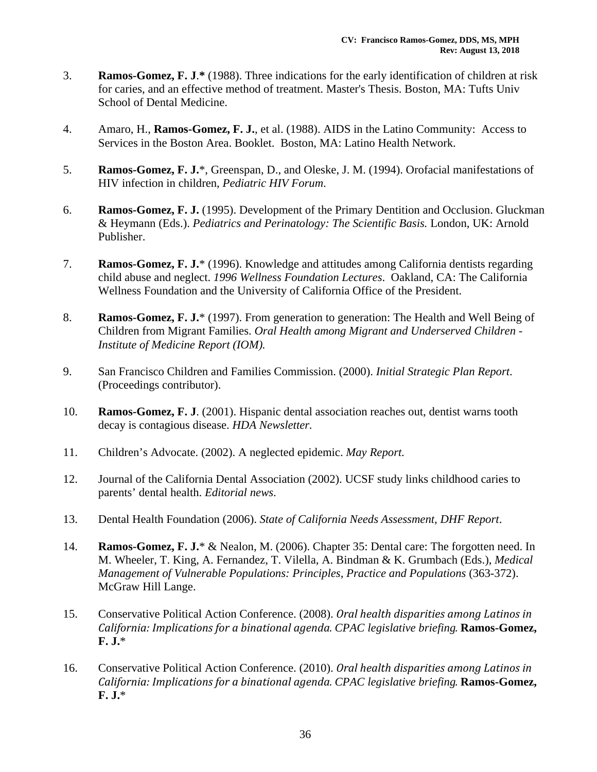- 3. **Ramos-Gomez, F. J**.**\*** (1988). Three indications for the early identification of children at risk for caries, and an effective method of treatment. Master's Thesis. Boston, MA: Tufts Univ School of Dental Medicine.
- 4. Amaro, H., **Ramos-Gomez, F. J.**, et al. (1988). AIDS in the Latino Community: Access to Services in the Boston Area. Booklet. Boston, MA: Latino Health Network.
- 5. **Ramos-Gomez, F. J.**\*, Greenspan, D., and Oleske, J. M. (1994). Orofacial manifestations of HIV infection in children, *Pediatric HIV Forum*.
- 6. **Ramos-Gomez, F. J.** (1995). Development of the Primary Dentition and Occlusion. Gluckman & Heymann (Eds.). *Pediatrics and Perinatology: The Scientific Basis.* London, UK: Arnold Publisher.
- 7. **Ramos-Gomez, F. J.**\* (1996). Knowledge and attitudes among California dentists regarding child abuse and neglect. *1996 Wellness Foundation Lectures*. Oakland, CA: The California Wellness Foundation and the University of California Office of the President.
- 8. **Ramos-Gomez, F. J.**\* (1997). From generation to generation: The Health and Well Being of Children from Migrant Families. *Oral Health among Migrant and Underserved Children - Institute of Medicine Report (IOM).*
- 9. San Francisco Children and Families Commission. (2000). *Initial Strategic Plan Report*. (Proceedings contributor).
- 10. **Ramos-Gomez, F. J**. (2001). Hispanic dental association reaches out, dentist warns tooth decay is contagious disease. *HDA Newsletter.*
- 11. Children's Advocate. (2002). A neglected epidemic. *May Report.*
- 12. Journal of the California Dental Association (2002). UCSF study links childhood caries to parents' dental health. *Editorial news*.
- 13. Dental Health Foundation (2006). *State of California Needs Assessment, DHF Report*.
- 14. **Ramos-Gomez, F. J.**\* & Nealon, M. (2006). Chapter 35: Dental care: The forgotten need. In M. Wheeler, T. King, A. Fernandez, T. Vilella, A. Bindman & K. Grumbach (Eds.), *Medical Management of Vulnerable Populations: Principles, Practice and Populations (363-372).* McGraw Hill Lange.
- 15. Conservative Political Action Conference. (2008). *Oral health disparities among Latinos in California: Implications for a binational agenda. CPAC legislative briefing.* **Ramos-Gomez, F. J.**\*
- 16. Conservative Political Action Conference. (2010). *Oral health disparities among Latinos in California: Implications for a binational agenda. CPAC legislative briefing.* **Ramos-Gomez, F. J.**\*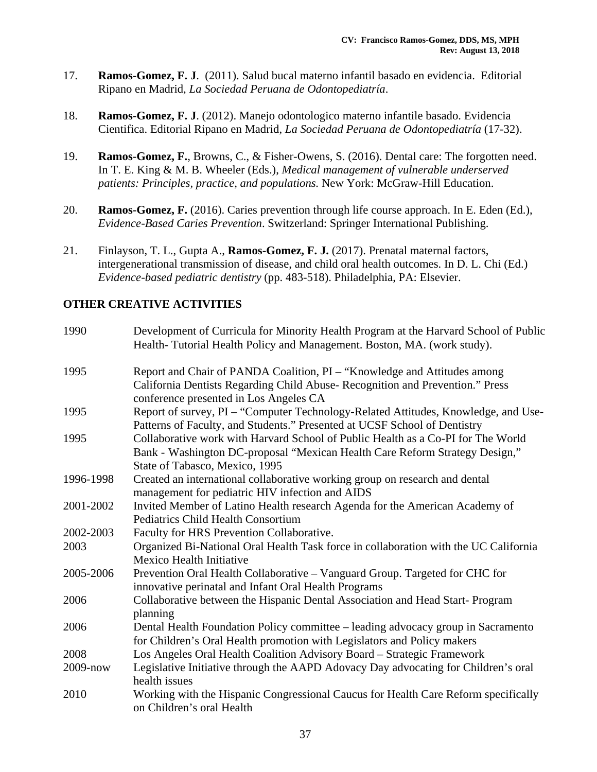- 17. **Ramos-Gomez, F. J**. (2011). Salud bucal materno infantil basado en evidencia. Editorial Ripano en Madrid, *La Sociedad Peruana de Odontopediatría*.
- 18. **Ramos-Gomez, F. J**. (2012). Manejo odontologico materno infantile basado. Evidencia Cientifica. Editorial Ripano en Madrid, *La Sociedad Peruana de Odontopediatría* (17-32).
- 19. **Ramos-Gomez, F.**, Browns, C., & Fisher-Owens, S. (2016). Dental care: The forgotten need. In T. E. King & M. B. Wheeler (Eds.), *Medical management of vulnerable underserved patients: Principles, practice, and populations.* New York: McGraw-Hill Education.
- 20. **Ramos-Gomez, F.** (2016). Caries prevention through life course approach. In E. Eden (Ed.), *Evidence-Based Caries Prevention*. Switzerland: Springer International Publishing.
- 21. Finlayson, T. L., Gupta A., **Ramos-Gomez, F. J.** (2017). Prenatal maternal factors, intergenerational transmission of disease, and child oral health outcomes. In D. L. Chi (Ed.) *Evidence-based pediatric dentistry* (pp. 483-518). Philadelphia, PA: Elsevier.

### **OTHER CREATIVE ACTIVITIES**

| 1990         | Development of Curricula for Minority Health Program at the Harvard School of Public<br>Health-Tutorial Health Policy and Management. Boston, MA. (work study). |  |
|--------------|-----------------------------------------------------------------------------------------------------------------------------------------------------------------|--|
|              |                                                                                                                                                                 |  |
| 1995         | Report and Chair of PANDA Coalition, PI - "Knowledge and Attitudes among                                                                                        |  |
|              | California Dentists Regarding Child Abuse- Recognition and Prevention." Press                                                                                   |  |
|              | conference presented in Los Angeles CA                                                                                                                          |  |
| 1995         | Report of survey, PI - "Computer Technology-Related Attitudes, Knowledge, and Use-                                                                              |  |
|              | Patterns of Faculty, and Students." Presented at UCSF School of Dentistry                                                                                       |  |
| 1995         | Collaborative work with Harvard School of Public Health as a Co-PI for The World                                                                                |  |
|              | Bank - Washington DC-proposal "Mexican Health Care Reform Strategy Design,"                                                                                     |  |
|              | State of Tabasco, Mexico, 1995                                                                                                                                  |  |
| 1996-1998    | Created an international collaborative working group on research and dental                                                                                     |  |
|              | management for pediatric HIV infection and AIDS                                                                                                                 |  |
| 2001-2002    | Invited Member of Latino Health research Agenda for the American Academy of                                                                                     |  |
|              | <b>Pediatrics Child Health Consortium</b>                                                                                                                       |  |
| 2002-2003    | Faculty for HRS Prevention Collaborative.                                                                                                                       |  |
| 2003         | Organized Bi-National Oral Health Task force in collaboration with the UC California                                                                            |  |
|              | Mexico Health Initiative                                                                                                                                        |  |
| 2005-2006    | Prevention Oral Health Collaborative - Vanguard Group. Targeted for CHC for                                                                                     |  |
|              | innovative perinatal and Infant Oral Health Programs                                                                                                            |  |
| 2006         | Collaborative between the Hispanic Dental Association and Head Start-Program                                                                                    |  |
|              | planning                                                                                                                                                        |  |
| 2006         | Dental Health Foundation Policy committee – leading advocacy group in Sacramento                                                                                |  |
|              | for Children's Oral Health promotion with Legislators and Policy makers                                                                                         |  |
| 2008         | Los Angeles Oral Health Coalition Advisory Board - Strategic Framework                                                                                          |  |
| $2009 - now$ | Legislative Initiative through the AAPD Adovacy Day advocating for Children's oral                                                                              |  |
|              | health issues                                                                                                                                                   |  |
| 2010         | Working with the Hispanic Congressional Caucus for Health Care Reform specifically                                                                              |  |
|              | on Children's oral Health                                                                                                                                       |  |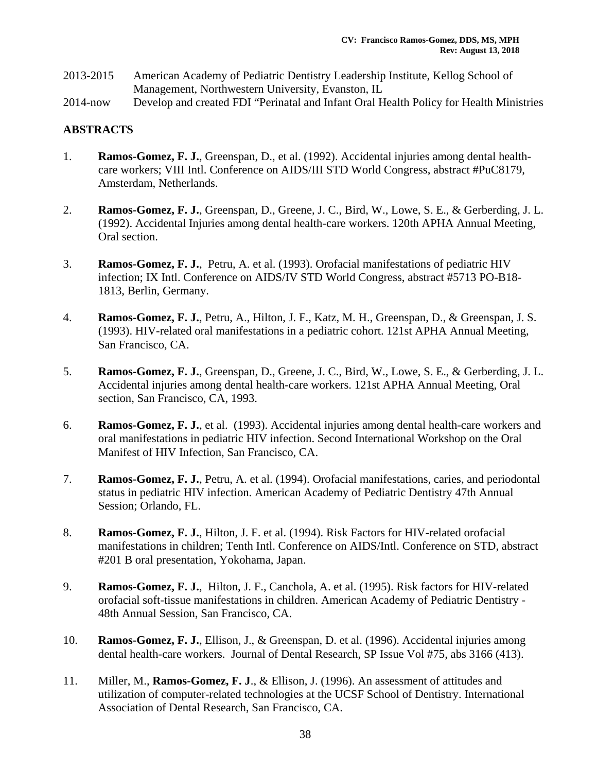- 2013-2015 American Academy of Pediatric Dentistry Leadership Institute, Kellog School of Management, Northwestern University, Evanston, IL
- 2014-now Develop and created FDI "Perinatal and Infant Oral Health Policy for Health Ministries

### **ABSTRACTS**

- 1. **Ramos-Gomez, F. J.**, Greenspan, D., et al. (1992). Accidental injuries among dental healthcare workers; VIII Intl. Conference on AIDS/III STD World Congress, abstract #PuC8179, Amsterdam, Netherlands.
- 2. **Ramos-Gomez, F. J.**, Greenspan, D., Greene, J. C., Bird, W., Lowe, S. E., & Gerberding, J. L. (1992). Accidental Injuries among dental health-care workers. 120th APHA Annual Meeting, Oral section.
- 3. **Ramos-Gomez, F. J.**, Petru, A. et al. (1993). Orofacial manifestations of pediatric HIV infection; IX Intl. Conference on AIDS/IV STD World Congress, abstract #5713 PO-B18- 1813, Berlin, Germany.
- 4. **Ramos-Gomez, F. J.**, Petru, A., Hilton, J. F., Katz, M. H., Greenspan, D., & Greenspan, J. S. (1993). HIV-related oral manifestations in a pediatric cohort. 121st APHA Annual Meeting, San Francisco, CA.
- 5. **Ramos-Gomez, F. J.**, Greenspan, D., Greene, J. C., Bird, W., Lowe, S. E., & Gerberding, J. L. Accidental injuries among dental health-care workers. 121st APHA Annual Meeting, Oral section, San Francisco, CA, 1993.
- 6. **Ramos-Gomez, F. J.**, et al. (1993). Accidental injuries among dental health-care workers and oral manifestations in pediatric HIV infection. Second International Workshop on the Oral Manifest of HIV Infection, San Francisco, CA.
- 7. **Ramos-Gomez, F. J.**, Petru, A. et al. (1994). Orofacial manifestations, caries, and periodontal status in pediatric HIV infection. American Academy of Pediatric Dentistry 47th Annual Session; Orlando, FL.
- 8. **Ramos-Gomez, F. J.**, Hilton, J. F. et al. (1994). Risk Factors for HIV-related orofacial manifestations in children; Tenth Intl. Conference on AIDS/Intl. Conference on STD, abstract #201 B oral presentation, Yokohama, Japan.
- 9. **Ramos-Gomez, F. J.**, Hilton, J. F., Canchola, A. et al. (1995). Risk factors for HIV-related orofacial soft-tissue manifestations in children. American Academy of Pediatric Dentistry - 48th Annual Session, San Francisco, CA.
- 10. **Ramos-Gomez, F. J.**, Ellison, J., & Greenspan, D. et al. (1996). Accidental injuries among dental health-care workers. Journal of Dental Research, SP Issue Vol #75, abs 3166 (413).
- 11. Miller, M., **Ramos-Gomez, F. J**., & Ellison, J. (1996). An assessment of attitudes and utilization of computer-related technologies at the UCSF School of Dentistry. International Association of Dental Research, San Francisco, CA.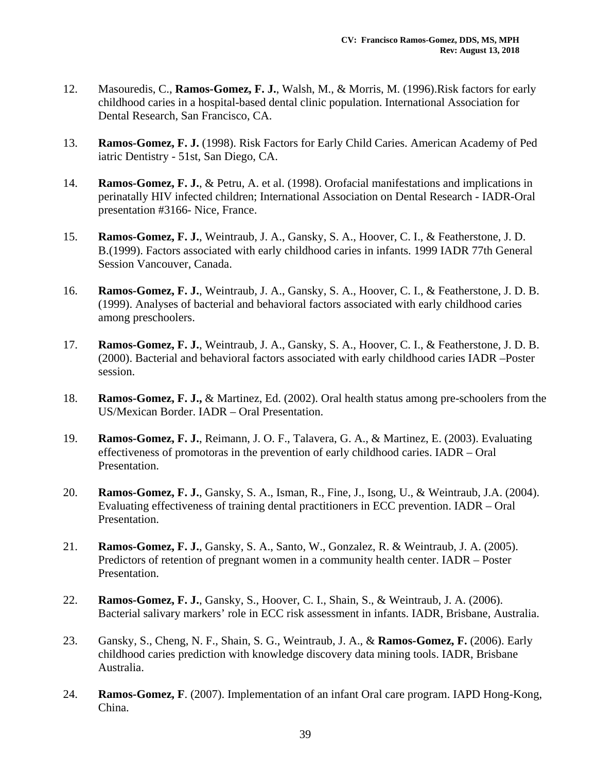- 12. Masouredis, C., **Ramos-Gomez, F. J.**, Walsh, M., & Morris, M. (1996).Risk factors for early childhood caries in a hospital-based dental clinic population. International Association for Dental Research, San Francisco, CA.
- 13. **Ramos-Gomez, F. J.** (1998). Risk Factors for Early Child Caries. American Academy of Ped iatric Dentistry - 51st, San Diego, CA.
- 14. **Ramos-Gomez, F. J.**, & Petru, A. et al. (1998). Orofacial manifestations and implications in perinatally HIV infected children; International Association on Dental Research - IADR-Oral presentation #3166- Nice, France.
- 15. **Ramos-Gomez, F. J.**, Weintraub, J. A., Gansky, S. A., Hoover, C. I., & Featherstone, J. D. B.(1999). Factors associated with early childhood caries in infants. 1999 IADR 77th General Session Vancouver, Canada.
- 16. **Ramos-Gomez, F. J.**, Weintraub, J. A., Gansky, S. A., Hoover, C. I., & Featherstone, J. D. B. (1999). Analyses of bacterial and behavioral factors associated with early childhood caries among preschoolers.
- 17. **Ramos-Gomez, F. J.**, Weintraub, J. A., Gansky, S. A., Hoover, C. I., & Featherstone, J. D. B. (2000). Bacterial and behavioral factors associated with early childhood caries IADR –Poster session.
- 18. **Ramos-Gomez, F. J.,** & Martinez, Ed. (2002). Oral health status among pre-schoolers from the US/Mexican Border. IADR – Oral Presentation.
- 19. **Ramos-Gomez, F. J.**, Reimann, J. O. F., Talavera, G. A., & Martinez, E. (2003). Evaluating effectiveness of promotoras in the prevention of early childhood caries. IADR – Oral Presentation.
- 20. **Ramos-Gomez, F. J.**, Gansky, S. A., Isman, R., Fine, J., Isong, U., & Weintraub, J.A. (2004). Evaluating effectiveness of training dental practitioners in ECC prevention. IADR – Oral Presentation.
- 21. **Ramos-Gomez, F. J.**, Gansky, S. A., Santo, W., Gonzalez, R. & Weintraub, J. A. (2005). Predictors of retention of pregnant women in a community health center. IADR – Poster Presentation.
- 22. **Ramos-Gomez, F. J.**, Gansky, S., Hoover, C. I., Shain, S., & Weintraub, J. A. (2006). Bacterial salivary markers' role in ECC risk assessment in infants. IADR, Brisbane, Australia.
- 23. Gansky, S., Cheng, N. F., Shain, S. G., Weintraub, J. A., & **Ramos-Gomez, F.** (2006). Early childhood caries prediction with knowledge discovery data mining tools. IADR, Brisbane Australia.
- 24. **Ramos-Gomez, F**. (2007). Implementation of an infant Oral care program. IAPD Hong-Kong, China.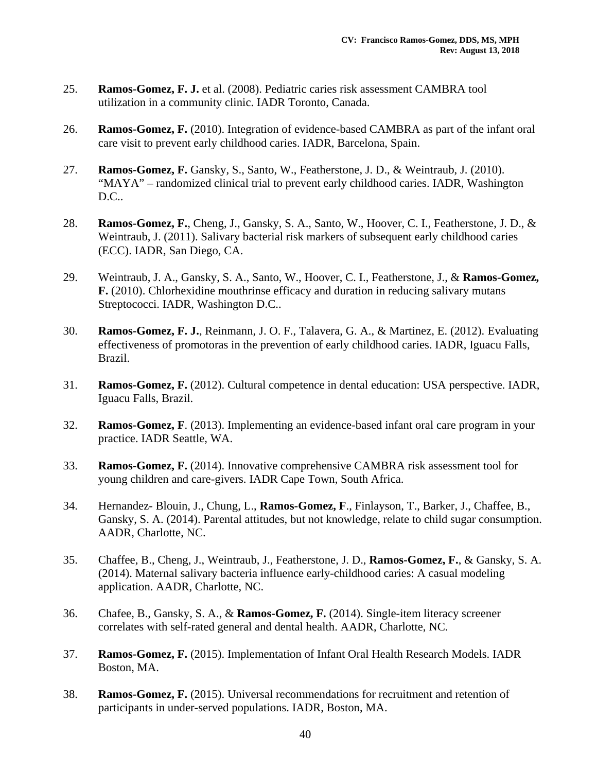- 25. **Ramos-Gomez, F. J.** et al. (2008). Pediatric caries risk assessment CAMBRA tool utilization in a community clinic. IADR Toronto, Canada.
- 26. **Ramos-Gomez, F.** (2010). Integration of evidence-based CAMBRA as part of the infant oral care visit to prevent early childhood caries. IADR, Barcelona, Spain.
- 27. **Ramos-Gomez, F.** Gansky, S., Santo, W., Featherstone, J. D., & Weintraub, J. (2010). "MAYA" – randomized clinical trial to prevent early childhood caries. IADR, Washington D.C..
- 28. **Ramos-Gomez, F.**, Cheng, J., Gansky, S. A., Santo, W., Hoover, C. I., Featherstone, J. D., & Weintraub, J. (2011). Salivary bacterial risk markers of subsequent early childhood caries (ECC). IADR, San Diego, CA.
- 29. Weintraub, J. A., Gansky, S. A., Santo, W., Hoover, C. I., Featherstone, J., & **Ramos-Gomez, F.** (2010). Chlorhexidine mouthrinse efficacy and duration in reducing salivary mutans Streptococci. IADR, Washington D.C..
- 30. **Ramos-Gomez, F. J.**, Reinmann, J. O. F., Talavera, G. A., & Martinez, E. (2012). Evaluating effectiveness of promotoras in the prevention of early childhood caries. IADR, Iguacu Falls, Brazil.
- 31. **Ramos-Gomez, F.** (2012). Cultural competence in dental education: USA perspective. IADR, Iguacu Falls, Brazil.
- 32. **Ramos-Gomez, F**. (2013). Implementing an evidence-based infant oral care program in your practice. IADR Seattle, WA.
- 33. **Ramos-Gomez, F.** (2014). Innovative comprehensive CAMBRA risk assessment tool for young children and care-givers. IADR Cape Town, South Africa.
- 34. Hernandez- Blouin, J., Chung, L., **Ramos-Gomez, F**., Finlayson, T., Barker, J., Chaffee, B., Gansky, S. A. (2014). Parental attitudes, but not knowledge, relate to child sugar consumption. AADR, Charlotte, NC.
- 35. Chaffee, B., Cheng, J., Weintraub, J., Featherstone, J. D., **Ramos-Gomez, F.**, & Gansky, S. A. (2014). Maternal salivary bacteria influence early-childhood caries: A casual modeling application. AADR, Charlotte, NC.
- 36. Chafee, B., Gansky, S. A., & **Ramos-Gomez, F.** (2014). Single-item literacy screener correlates with self-rated general and dental health. AADR, Charlotte, NC.
- 37. **Ramos-Gomez, F.** (2015). Implementation of Infant Oral Health Research Models. IADR Boston, MA.
- 38. **Ramos-Gomez, F.** (2015). Universal recommendations for recruitment and retention of participants in under-served populations. IADR, Boston, MA.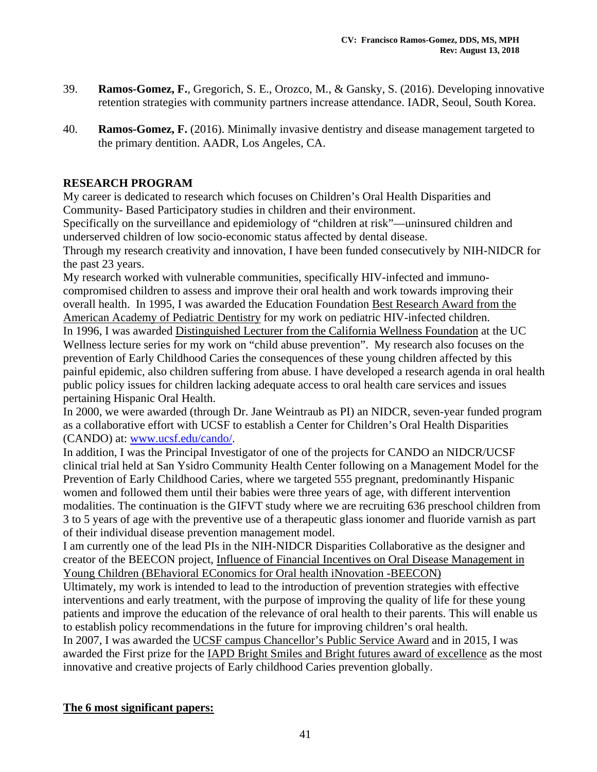- 39. **Ramos-Gomez, F.**, Gregorich, S. E., Orozco, M., & Gansky, S. (2016). Developing innovative retention strategies with community partners increase attendance. IADR, Seoul, South Korea.
- 40. **Ramos-Gomez, F.** (2016). Minimally invasive dentistry and disease management targeted to the primary dentition. AADR, Los Angeles, CA.

### **RESEARCH PROGRAM**

My career is dedicated to research which focuses on Children's Oral Health Disparities and Community- Based Participatory studies in children and their environment.

Specifically on the surveillance and epidemiology of "children at risk"—uninsured children and underserved children of low socio-economic status affected by dental disease.

Through my research creativity and innovation, I have been funded consecutively by NIH-NIDCR for the past 23 years.

My research worked with vulnerable communities, specifically HIV-infected and immunocompromised children to assess and improve their oral health and work towards improving their overall health. In 1995, I was awarded the Education Foundation Best Research Award from the American Academy of Pediatric Dentistry for my work on pediatric HIV-infected children.

In 1996, I was awarded Distinguished Lecturer from the California Wellness Foundation at the UC Wellness lecture series for my work on "child abuse prevention". My research also focuses on the prevention of Early Childhood Caries the consequences of these young children affected by this painful epidemic, also children suffering from abuse. I have developed a research agenda in oral health public policy issues for children lacking adequate access to oral health care services and issues pertaining Hispanic Oral Health.

In 2000, we were awarded (through Dr. Jane Weintraub as PI) an NIDCR, seven-year funded program as a collaborative effort with UCSF to establish a Center for Children's Oral Health Disparities (CANDO) at: www.ucsf.edu/cando/.

In addition, I was the Principal Investigator of one of the projects for CANDO an NIDCR/UCSF clinical trial held at San Ysidro Community Health Center following on a Management Model for the Prevention of Early Childhood Caries, where we targeted 555 pregnant, predominantly Hispanic women and followed them until their babies were three years of age, with different intervention modalities. The continuation is the GIFVT study where we are recruiting 636 preschool children from 3 to 5 years of age with the preventive use of a therapeutic glass ionomer and fluoride varnish as part of their individual disease prevention management model.

I am currently one of the lead PIs in the NIH-NIDCR Disparities Collaborative as the designer and creator of the BEECON project, Influence of Financial Incentives on Oral Disease Management in Young Children (BEhavioral EConomics for Oral health iNnovation -BEECON)

Ultimately, my work is intended to lead to the introduction of prevention strategies with effective interventions and early treatment, with the purpose of improving the quality of life for these young patients and improve the education of the relevance of oral health to their parents. This will enable us to establish policy recommendations in the future for improving children's oral health.

In 2007, I was awarded the UCSF campus Chancellor's Public Service Award and in 2015, I was awarded the First prize for the IAPD Bright Smiles and Bright futures award of excellence as the most innovative and creative projects of Early childhood Caries prevention globally.

### **The 6 most significant papers:**